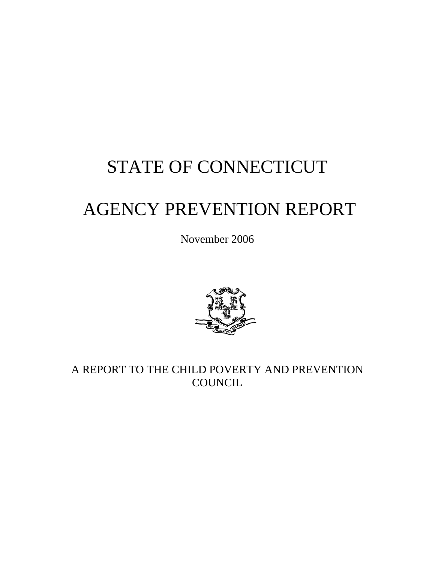# STATE OF CONNECTICUT

# AGENCY PREVENTION REPORT

November 2006



A REPORT TO THE CHILD POVERTY AND PREVENTION **COUNCIL**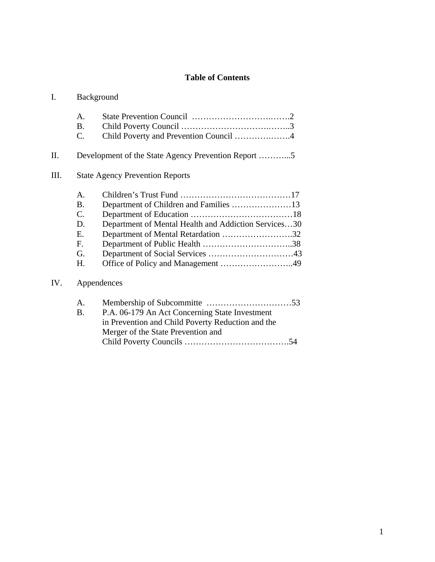## **Table of Contents**

| Background |
|------------|
|            |

|      | $\mathsf{A}$ .<br>Β.                   |                                                      |  |
|------|----------------------------------------|------------------------------------------------------|--|
|      | $\mathcal{C}$ .                        | Child Poverty and Prevention Council 4               |  |
| Π.   |                                        | Development of the State Agency Prevention Report 5  |  |
| III. | <b>State Agency Prevention Reports</b> |                                                      |  |
|      | A.                                     |                                                      |  |
|      | B.                                     | Department of Children and Families 13               |  |
|      | C.                                     |                                                      |  |
|      | D.                                     | Department of Mental Health and Addiction Services30 |  |
|      | E.                                     | Department of Mental Retardation 32                  |  |
|      | F.                                     |                                                      |  |
|      | G.                                     |                                                      |  |
|      | Н.                                     | Office of Policy and Management 49                   |  |
|      |                                        |                                                      |  |

# IV. Appendences

| A.        |                                                   |  |
|-----------|---------------------------------------------------|--|
| <b>B.</b> | P.A. 06-179 An Act Concerning State Investment    |  |
|           | in Prevention and Child Poverty Reduction and the |  |
|           | Merger of the State Prevention and                |  |
|           |                                                   |  |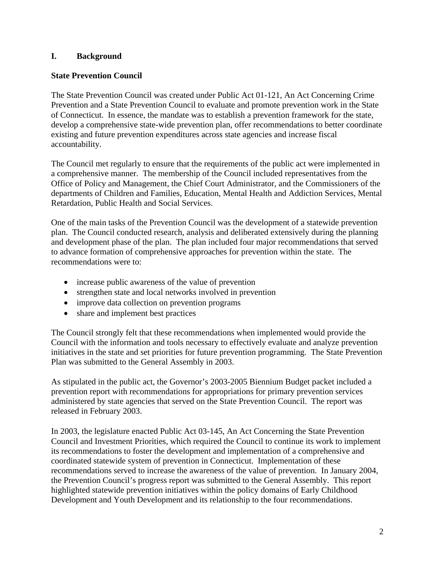#### **I. Background**

#### **State Prevention Council**

The State Prevention Council was created under Public Act 01-121, An Act Concerning Crime Prevention and a State Prevention Council to evaluate and promote prevention work in the State of Connecticut. In essence, the mandate was to establish a prevention framework for the state, develop a comprehensive state-wide prevention plan, offer recommendations to better coordinate existing and future prevention expenditures across state agencies and increase fiscal accountability.

The Council met regularly to ensure that the requirements of the public act were implemented in a comprehensive manner. The membership of the Council included representatives from the Office of Policy and Management, the Chief Court Administrator, and the Commissioners of the departments of Children and Families, Education, Mental Health and Addiction Services, Mental Retardation, Public Health and Social Services.

One of the main tasks of the Prevention Council was the development of a statewide prevention plan. The Council conducted research, analysis and deliberated extensively during the planning and development phase of the plan. The plan included four major recommendations that served to advance formation of comprehensive approaches for prevention within the state. The recommendations were to:

- increase public awareness of the value of prevention
- strengthen state and local networks involved in prevention
- improve data collection on prevention programs
- share and implement best practices

The Council strongly felt that these recommendations when implemented would provide the Council with the information and tools necessary to effectively evaluate and analyze prevention initiatives in the state and set priorities for future prevention programming. The State Prevention Plan was submitted to the General Assembly in 2003.

As stipulated in the public act, the Governor's 2003-2005 Biennium Budget packet included a prevention report with recommendations for appropriations for primary prevention services administered by state agencies that served on the State Prevention Council. The report was released in February 2003.

In 2003, the legislature enacted Public Act 03-145, An Act Concerning the State Prevention Council and Investment Priorities, which required the Council to continue its work to implement its recommendations to foster the development and implementation of a comprehensive and coordinated statewide system of prevention in Connecticut. Implementation of these recommendations served to increase the awareness of the value of prevention. In January 2004, the Prevention Council's progress report was submitted to the General Assembly. This report highlighted statewide prevention initiatives within the policy domains of Early Childhood Development and Youth Development and its relationship to the four recommendations.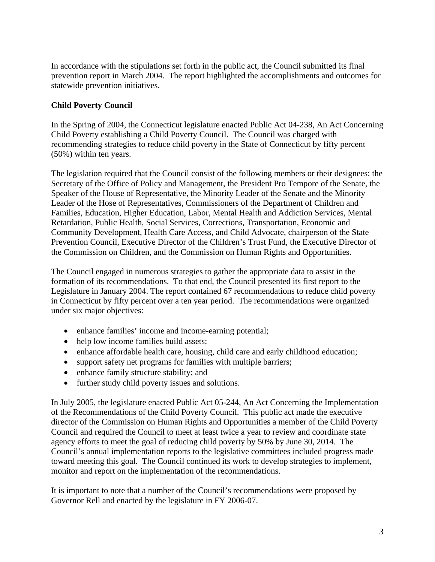In accordance with the stipulations set forth in the public act, the Council submitted its final prevention report in March 2004. The report highlighted the accomplishments and outcomes for statewide prevention initiatives.

#### **Child Poverty Council**

In the Spring of 2004, the Connecticut legislature enacted Public Act 04-238, An Act Concerning Child Poverty establishing a Child Poverty Council. The Council was charged with recommending strategies to reduce child poverty in the State of Connecticut by fifty percent (50%) within ten years.

The legislation required that the Council consist of the following members or their designees: the Secretary of the Office of Policy and Management, the President Pro Tempore of the Senate, the Speaker of the House of Representative, the Minority Leader of the Senate and the Minority Leader of the Hose of Representatives, Commissioners of the Department of Children and Families, Education, Higher Education, Labor, Mental Health and Addiction Services, Mental Retardation, Public Health, Social Services, Corrections, Transportation, Economic and Community Development, Health Care Access, and Child Advocate, chairperson of the State Prevention Council, Executive Director of the Children's Trust Fund, the Executive Director of the Commission on Children, and the Commission on Human Rights and Opportunities.

The Council engaged in numerous strategies to gather the appropriate data to assist in the formation of its recommendations. To that end, the Council presented its first report to the Legislature in January 2004. The report contained 67 recommendations to reduce child poverty in Connecticut by fifty percent over a ten year period. The recommendations were organized under six major objectives:

- enhance families' income and income-earning potential;
- help low income families build assets;
- enhance affordable health care, housing, child care and early childhood education;
- support safety net programs for families with multiple barriers;
- enhance family structure stability; and
- further study child poverty issues and solutions.

In July 2005, the legislature enacted Public Act 05-244, An Act Concerning the Implementation of the Recommendations of the Child Poverty Council. This public act made the executive director of the Commission on Human Rights and Opportunities a member of the Child Poverty Council and required the Council to meet at least twice a year to review and coordinate state agency efforts to meet the goal of reducing child poverty by 50% by June 30, 2014. The Council's annual implementation reports to the legislative committees included progress made toward meeting this goal. The Council continued its work to develop strategies to implement, monitor and report on the implementation of the recommendations.

It is important to note that a number of the Council's recommendations were proposed by Governor Rell and enacted by the legislature in FY 2006-07.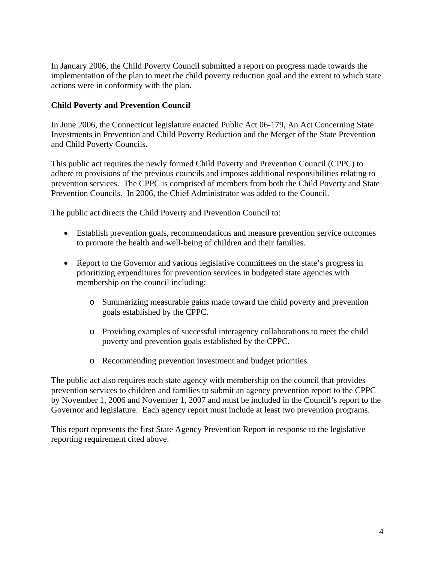In January 2006, the Child Poverty Council submitted a report on progress made towards the implementation of the plan to meet the child poverty reduction goal and the extent to which state actions were in conformity with the plan.

#### **Child Poverty and Prevention Council**

In June 2006, the Connecticut legislature enacted Public Act 06-179, An Act Concerning State Investments in Prevention and Child Poverty Reduction and the Merger of the State Prevention and Child Poverty Councils.

This public act requires the newly formed Child Poverty and Prevention Council (CPPC) to adhere to provisions of the previous councils and imposes additional responsibilities relating to prevention services. The CPPC is comprised of members from both the Child Poverty and State Prevention Councils. In 2006, the Chief Administrator was added to the Council.

The public act directs the Child Poverty and Prevention Council to:

- Establish prevention goals, recommendations and measure prevention service outcomes to promote the health and well-being of children and their families.
- Report to the Governor and various legislative committees on the state's progress in prioritizing expenditures for prevention services in budgeted state agencies with membership on the council including:
	- o Summarizing measurable gains made toward the child poverty and prevention goals established by the CPPC.
	- o Providing examples of successful interagency collaborations to meet the child poverty and prevention goals established by the CPPC.
	- o Recommending prevention investment and budget priorities.

The public act also requires each state agency with membership on the council that provides prevention services to children and families to submit an agency prevention report to the CPPC by November 1, 2006 and November 1, 2007 and must be included in the Council's report to the Governor and legislature. Each agency report must include at least two prevention programs.

This report represents the first State Agency Prevention Report in response to the legislative reporting requirement cited above.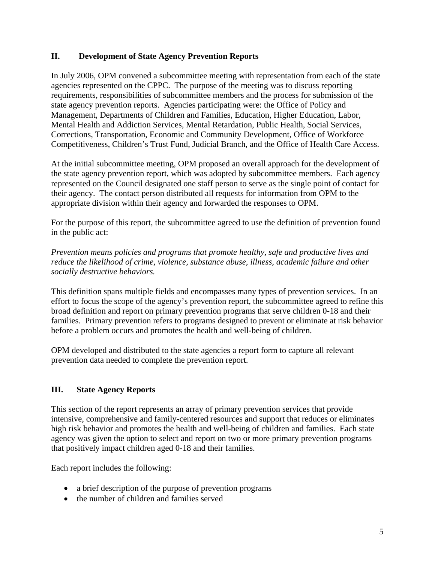#### **II. Development of State Agency Prevention Reports**

In July 2006, OPM convened a subcommittee meeting with representation from each of the state agencies represented on the CPPC. The purpose of the meeting was to discuss reporting requirements, responsibilities of subcommittee members and the process for submission of the state agency prevention reports. Agencies participating were: the Office of Policy and Management, Departments of Children and Families, Education, Higher Education, Labor, Mental Health and Addiction Services, Mental Retardation, Public Health, Social Services, Corrections, Transportation, Economic and Community Development, Office of Workforce Competitiveness, Children's Trust Fund, Judicial Branch, and the Office of Health Care Access.

At the initial subcommittee meeting, OPM proposed an overall approach for the development of the state agency prevention report, which was adopted by subcommittee members. Each agency represented on the Council designated one staff person to serve as the single point of contact for their agency. The contact person distributed all requests for information from OPM to the appropriate division within their agency and forwarded the responses to OPM.

For the purpose of this report, the subcommittee agreed to use the definition of prevention found in the public act:

*Prevention means policies and programs that promote healthy, safe and productive lives and reduce the likelihood of crime, violence, substance abuse, illness, academic failure and other socially destructive behaviors.* 

This definition spans multiple fields and encompasses many types of prevention services. In an effort to focus the scope of the agency's prevention report, the subcommittee agreed to refine this broad definition and report on primary prevention programs that serve children 0-18 and their families. Primary prevention refers to programs designed to prevent or eliminate at risk behavior before a problem occurs and promotes the health and well-being of children.

OPM developed and distributed to the state agencies a report form to capture all relevant prevention data needed to complete the prevention report.

### **III. State Agency Reports**

This section of the report represents an array of primary prevention services that provide intensive, comprehensive and family-centered resources and support that reduces or eliminates high risk behavior and promotes the health and well-being of children and families. Each state agency was given the option to select and report on two or more primary prevention programs that positively impact children aged 0-18 and their families.

Each report includes the following:

- a brief description of the purpose of prevention programs
- the number of children and families served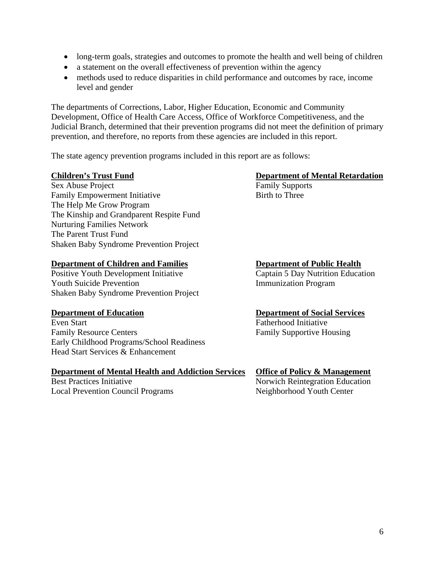- long-term goals, strategies and outcomes to promote the health and well being of children
- a statement on the overall effectiveness of prevention within the agency
- methods used to reduce disparities in child performance and outcomes by race, income level and gender

The departments of Corrections, Labor, Higher Education, Economic and Community Development, Office of Health Care Access, Office of Workforce Competitiveness, and the Judicial Branch, determined that their prevention programs did not meet the definition of primary prevention, and therefore, no reports from these agencies are included in this report.

The state agency prevention programs included in this report are as follows:

#### **Children's Trust Fund Department of Mental Retardation**

Sex Abuse Project Family Supports Family Empowerment Initiative Birth to Three The Help Me Grow Program The Kinship and Grandparent Respite Fund Nurturing Families Network The Parent Trust Fund Shaken Baby Syndrome Prevention Project

**Department of Children and Families Department of Public Health**<br>
Positive Youth Development Initiative Captain 5 Day Nutrition Education Positive Youth Development Initiative Youth Suicide Prevention **Immunization Program** Shaken Baby Syndrome Prevention Project

Even Start Fatherhood Initiative Family Resource Centers Family Supportive Housing Early Childhood Programs/School Readiness Head Start Services & Enhancement

#### **Department of Mental Health and Addiction Services Office of Policy & Management**

Local Prevention Council Programs Neighborhood Youth Center

#### **Department of Education Department of Social Services**

Best Practices Initiative Norwich Reintegration Education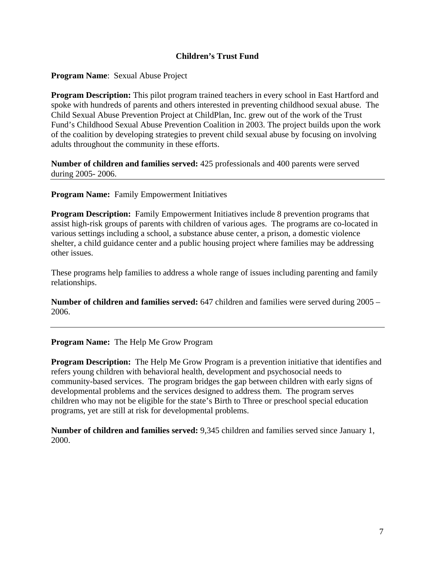#### **Children's Trust Fund**

**Program Name**: Sexual Abuse Project

**Program Description:** This pilot program trained teachers in every school in East Hartford and spoke with hundreds of parents and others interested in preventing childhood sexual abuse. The Child Sexual Abuse Prevention Project at ChildPlan, Inc. grew out of the work of the Trust Fund's Childhood Sexual Abuse Prevention Coalition in 2003. The project builds upon the work of the coalition by developing strategies to prevent child sexual abuse by focusing on involving adults throughout the community in these efforts.

**Number of children and families served:** 425 professionals and 400 parents were served during 2005- 2006.

**Program Name:** Family Empowerment Initiatives

**Program Description:** Family Empowerment Initiatives include 8 prevention programs that assist high-risk groups of parents with children of various ages. The programs are co-located in various settings including a school, a substance abuse center, a prison, a domestic violence shelter, a child guidance center and a public housing project where families may be addressing other issues.

These programs help families to address a whole range of issues including parenting and family relationships.

**Number of children and families served:** 647 children and families were served during 2005 – 2006.

**Program Name:** The Help Me Grow Program

**Program Description:** The Help Me Grow Program is a prevention initiative that identifies and refers young children with behavioral health, development and psychosocial needs to community-based services. The program bridges the gap between children with early signs of developmental problems and the services designed to address them. The program serves children who may not be eligible for the state's Birth to Three or preschool special education programs, yet are still at risk for developmental problems.

**Number of children and families served:** 9,345 children and families served since January 1, 2000.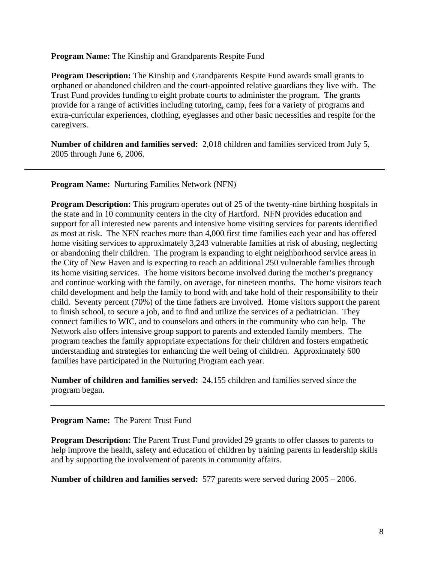#### **Program Name:** The Kinship and Grandparents Respite Fund

**Program Description:** The Kinship and Grandparents Respite Fund awards small grants to orphaned or abandoned children and the court-appointed relative guardians they live with. The Trust Fund provides funding to eight probate courts to administer the program. The grants provide for a range of activities including tutoring, camp, fees for a variety of programs and extra-curricular experiences, clothing, eyeglasses and other basic necessities and respite for the caregivers.

**Number of children and families served:** 2,018 children and families serviced from July 5, 2005 through June 6, 2006.

**Program Name:** Nurturing Families Network (NFN)

**Program Description:** This program operates out of 25 of the twenty-nine birthing hospitals in the state and in 10 community centers in the city of Hartford. NFN provides education and support for all interested new parents and intensive home visiting services for parents identified as most at risk. The NFN reaches more than 4,000 first time families each year and has offered home visiting services to approximately 3,243 vulnerable families at risk of abusing, neglecting or abandoning their children. The program is expanding to eight neighborhood service areas in the City of New Haven and is expecting to reach an additional 250 vulnerable families through its home visiting services. The home visitors become involved during the mother's pregnancy and continue working with the family, on average, for nineteen months. The home visitors teach child development and help the family to bond with and take hold of their responsibility to their child. Seventy percent (70%) of the time fathers are involved. Home visitors support the parent to finish school, to secure a job, and to find and utilize the services of a pediatrician. They connect families to WIC, and to counselors and others in the community who can help. The Network also offers intensive group support to parents and extended family members. The program teaches the family appropriate expectations for their children and fosters empathetic understanding and strategies for enhancing the well being of children. Approximately 600 families have participated in the Nurturing Program each year.

**Number of children and families served:** 24,155 children and families served since the program began.

#### **Program Name:** The Parent Trust Fund

**Program Description:** The Parent Trust Fund provided 29 grants to offer classes to parents to help improve the health, safety and education of children by training parents in leadership skills and by supporting the involvement of parents in community affairs.

**Number of children and families served:** 577 parents were served during 2005 – 2006.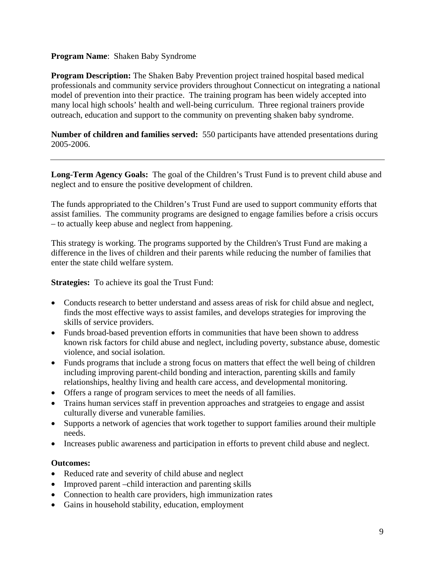#### **Program Name**: Shaken Baby Syndrome

**Program Description:** The Shaken Baby Prevention project trained hospital based medical professionals and community service providers throughout Connecticut on integrating a national model of prevention into their practice. The training program has been widely accepted into many local high schools' health and well-being curriculum. Three regional trainers provide outreach, education and support to the community on preventing shaken baby syndrome.

**Number of children and families served:** 550 participants have attended presentations during 2005-2006.

**Long-Term Agency Goals:** The goal of the Children's Trust Fund is to prevent child abuse and neglect and to ensure the positive development of children.

The funds appropriated to the Children's Trust Fund are used to support community efforts that assist families. The community programs are designed to engage families before a crisis occurs – to actually keep abuse and neglect from happening.

This strategy is working. The programs supported by the Children's Trust Fund are making a difference in the lives of children and their parents while reducing the number of families that enter the state child welfare system.

**Strategies:** To achieve its goal the Trust Fund:

- Conducts research to better understand and assess areas of risk for child absue and neglect, finds the most effective ways to assist familes, and develops strategies for improving the skills of service providers.
- Funds broad-based prevention efforts in communities that have been shown to address known risk factors for child abuse and neglect, including poverty, substance abuse, domestic violence, and social isolation.
- Funds programs that include a strong focus on matters that effect the well being of children including improving parent-child bonding and interaction, parenting skills and family relationships, healthy living and health care access, and developmental monitoring.
- Offers a range of program services to meet the needs of all families.
- Trains human services staff in prevention approaches and stratgeies to engage and assist culturally diverse and vunerable families.
- Supports a network of agencies that work together to support families around their multiple needs.
- Increases public awareness and participation in efforts to prevent child abuse and neglect.

#### **Outcomes:**

- Reduced rate and severity of child abuse and neglect
- Improved parent –child interaction and parenting skills
- Connection to health care providers, high immunization rates
- Gains in household stability, education, employment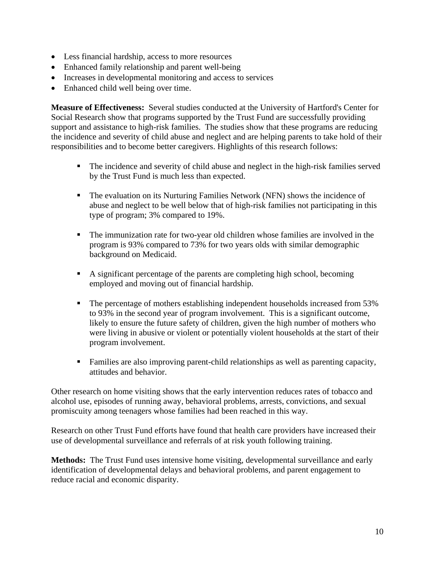- Less financial hardship, access to more resources
- Enhanced family relationship and parent well-being
- Increases in developmental monitoring and access to services
- Enhanced child well being over time.

**Measure of Effectiveness:** Several studies conducted at the University of Hartford's Center for Social Research show that programs supported by the Trust Fund are successfully providing support and assistance to high-risk families. The studies show that these programs are reducing the incidence and severity of child abuse and neglect and are helping parents to take hold of their responsibilities and to become better caregivers. Highlights of this research follows:

- The incidence and severity of child abuse and neglect in the high-risk families served by the Trust Fund is much less than expected.
- The evaluation on its Nurturing Families Network (NFN) shows the incidence of abuse and neglect to be well below that of high-risk families not participating in this type of program; 3% compared to 19%.
- The immunization rate for two-year old children whose families are involved in the program is 93% compared to 73% for two years olds with similar demographic background on Medicaid.
- A significant percentage of the parents are completing high school, becoming employed and moving out of financial hardship.
- The percentage of mothers establishing independent households increased from 53% to 93% in the second year of program involvement. This is a significant outcome, likely to ensure the future safety of children, given the high number of mothers who were living in abusive or violent or potentially violent households at the start of their program involvement.
- Families are also improving parent-child relationships as well as parenting capacity, attitudes and behavior.

Other research on home visiting shows that the early intervention reduces rates of tobacco and alcohol use, episodes of running away, behavioral problems, arrests, convictions, and sexual promiscuity among teenagers whose families had been reached in this way.

Research on other Trust Fund efforts have found that health care providers have increased their use of developmental surveillance and referrals of at risk youth following training.

**Methods:** The Trust Fund uses intensive home visiting, developmental surveillance and early identification of developmental delays and behavioral problems, and parent engagement to reduce racial and economic disparity.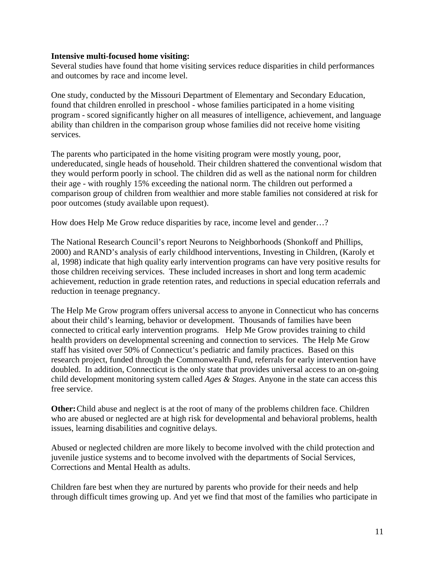#### **Intensive multi-focused home visiting:**

Several studies have found that home visiting services reduce disparities in child performances and outcomes by race and income level.

One study, conducted by the Missouri Department of Elementary and Secondary Education, found that children enrolled in preschool - whose families participated in a home visiting program - scored significantly higher on all measures of intelligence, achievement, and language ability than children in the comparison group whose families did not receive home visiting services.

The parents who participated in the home visiting program were mostly young, poor, undereducated, single heads of household. Their children shattered the conventional wisdom that they would perform poorly in school. The children did as well as the national norm for children their age - with roughly 15% exceeding the national norm. The children out performed a comparison group of children from wealthier and more stable families not considered at risk for poor outcomes (study available upon request).

How does Help Me Grow reduce disparities by race, income level and gender…?

The National Research Council's report Neurons to Neighborhoods (Shonkoff and Phillips, 2000) and RAND's analysis of early childhood interventions, Investing in Children, (Karoly et al, 1998) indicate that high quality early intervention programs can have very positive results for those children receiving services. These included increases in short and long term academic achievement, reduction in grade retention rates, and reductions in special education referrals and reduction in teenage pregnancy.

The Help Me Grow program offers universal access to anyone in Connecticut who has concerns about their child's learning, behavior or development. Thousands of families have been connected to critical early intervention programs. Help Me Grow provides training to child health providers on developmental screening and connection to services. The Help Me Grow staff has visited over 50% of Connecticut's pediatric and family practices. Based on this research project, funded through the Commonwealth Fund, referrals for early intervention have doubled. In addition, Connecticut is the only state that provides universal access to an on-going child development monitoring system called *Ages & Stages.* Anyone in the state can access this free service.

**Other:** Child abuse and neglect is at the root of many of the problems children face. Children who are abused or neglected are at high risk for developmental and behavioral problems, health issues, learning disabilities and cognitive delays.

Abused or neglected children are more likely to become involved with the child protection and juvenile justice systems and to become involved with the departments of Social Services, Corrections and Mental Health as adults.

Children fare best when they are nurtured by parents who provide for their needs and help through difficult times growing up. And yet we find that most of the families who participate in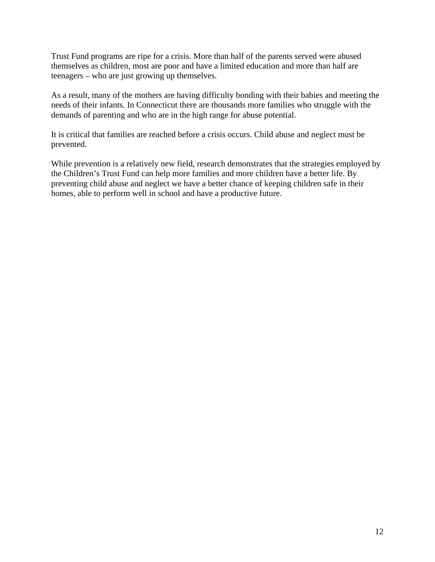Trust Fund programs are ripe for a crisis. More than half of the parents served were abused themselves as children, most are poor and have a limited education and more than half are teenagers – who are just growing up themselves.

As a result, many of the mothers are having difficulty bonding with their babies and meeting the needs of their infants. In Connecticut there are thousands more families who struggle with the demands of parenting and who are in the high range for abuse potential.

It is critical that families are reached before a crisis occurs. Child abuse and neglect must be prevented.

While prevention is a relatively new field, research demonstrates that the strategies employed by the Children's Trust Fund can help more families and more children have a better life. By preventing child abuse and neglect we have a better chance of keeping children safe in their homes, able to perform well in school and have a productive future.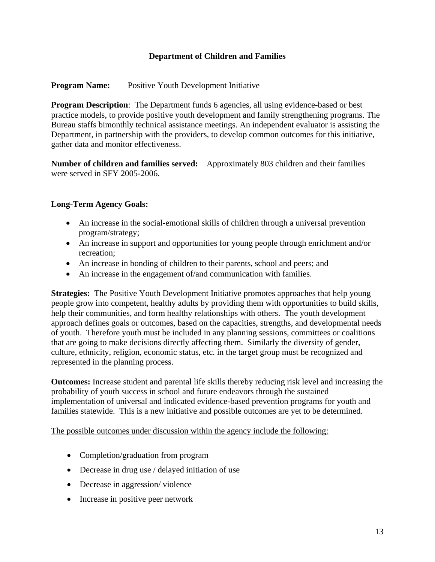#### **Department of Children and Families**

#### **Program Name:** Positive Youth Development Initiative

**Program Description**: The Department funds 6 agencies, all using evidence-based or best practice models, to provide positive youth development and family strengthening programs. The Bureau staffs bimonthly technical assistance meetings. An independent evaluator is assisting the Department, in partnership with the providers, to develop common outcomes for this initiative, gather data and monitor effectiveness.

**Number of children and families served:** Approximately 803 children and their families were served in SFY 2005-2006.

#### **Long-Term Agency Goals:**

- An increase in the social-emotional skills of children through a universal prevention program/strategy;
- An increase in support and opportunities for young people through enrichment and/or recreation;
- An increase in bonding of children to their parents, school and peers; and
- An increase in the engagement of/and communication with families.

**Strategies:** The Positive Youth Development Initiative promotes approaches that help young people grow into competent, healthy adults by providing them with opportunities to build skills, help their communities, and form healthy relationships with others. The youth development approach defines goals or outcomes, based on the capacities, strengths, and developmental needs of youth. Therefore youth must be included in any planning sessions, committees or coalitions that are going to make decisions directly affecting them. Similarly the diversity of gender, culture, ethnicity, religion, economic status, etc. in the target group must be recognized and represented in the planning process.

**Outcomes:** Increase student and parental life skills thereby reducing risk level and increasing the probability of youth success in school and future endeavors through the sustained implementation of universal and indicated evidence-based prevention programs for youth and families statewide. This is a new initiative and possible outcomes are yet to be determined.

The possible outcomes under discussion within the agency include the following:

- Completion/graduation from program
- Decrease in drug use / delayed initiation of use
- Decrease in aggression/violence
- Increase in positive peer network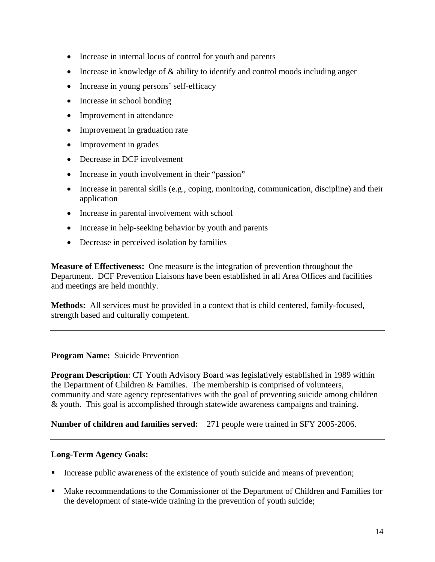- Increase in internal locus of control for youth and parents
- Increase in knowledge of & ability to identify and control moods including anger
- Increase in young persons' self-efficacy
- Increase in school bonding
- Improvement in attendance
- Improvement in graduation rate
- Improvement in grades
- Decrease in DCF involvement
- Increase in youth involvement in their "passion"
- Increase in parental skills (e.g., coping, monitoring, communication, discipline) and their application
- Increase in parental involvement with school
- Increase in help-seeking behavior by youth and parents
- Decrease in perceived isolation by families

**Measure of Effectiveness:** One measure is the integration of prevention throughout the Department. DCF Prevention Liaisons have been established in all Area Offices and facilities and meetings are held monthly.

**Methods:** All services must be provided in a context that is child centered, family-focused, strength based and culturally competent.

#### **Program Name:** Suicide Prevention

**Program Description**: CT Youth Advisory Board was legislatively established in 1989 within the Department of Children & Families. The membership is comprised of volunteers, community and state agency representatives with the goal of preventing suicide among children & youth. This goal is accomplished through statewide awareness campaigns and training.

**Number of children and families served:** 271 people were trained in SFY 2005-2006.

#### **Long-Term Agency Goals:**

- Increase public awareness of the existence of youth suicide and means of prevention;
- Make recommendations to the Commissioner of the Department of Children and Families for the development of state-wide training in the prevention of youth suicide;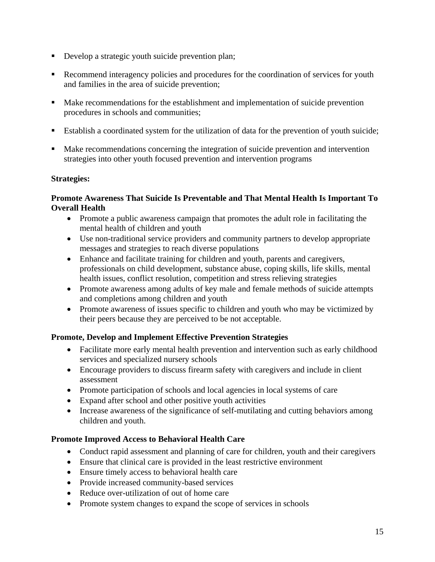- Develop a strategic youth suicide prevention plan;
- Recommend interagency policies and procedures for the coordination of services for youth and families in the area of suicide prevention;
- Make recommendations for the establishment and implementation of suicide prevention procedures in schools and communities;
- Establish a coordinated system for the utilization of data for the prevention of youth suicide;
- Make recommendations concerning the integration of suicide prevention and intervention strategies into other youth focused prevention and intervention programs

#### **Strategies:**

#### **Promote Awareness That Suicide Is Preventable and That Mental Health Is Important To Overall Health**

- Promote a public awareness campaign that promotes the adult role in facilitating the mental health of children and youth
- Use non-traditional service providers and community partners to develop appropriate messages and strategies to reach diverse populations
- Enhance and facilitate training for children and youth, parents and caregivers, professionals on child development, substance abuse, coping skills, life skills, mental health issues, conflict resolution, competition and stress relieving strategies
- Promote awareness among adults of key male and female methods of suicide attempts and completions among children and youth
- Promote awareness of issues specific to children and youth who may be victimized by their peers because they are perceived to be not acceptable.

#### **Promote, Develop and Implement Effective Prevention Strategies**

- Facilitate more early mental health prevention and intervention such as early childhood services and specialized nursery schools
- Encourage providers to discuss firearm safety with caregivers and include in client assessment
- Promote participation of schools and local agencies in local systems of care
- Expand after school and other positive youth activities
- Increase awareness of the significance of self-mutilating and cutting behaviors among children and youth.

#### **Promote Improved Access to Behavioral Health Care**

- Conduct rapid assessment and planning of care for children, youth and their caregivers
- Ensure that clinical care is provided in the least restrictive environment
- Ensure timely access to behavioral health care
- Provide increased community-based services
- Reduce over-utilization of out of home care
- Promote system changes to expand the scope of services in schools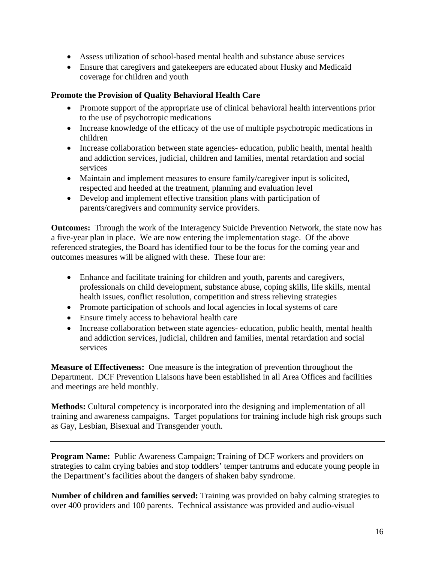- Assess utilization of school-based mental health and substance abuse services
- Ensure that caregivers and gatekeepers are educated about Husky and Medicaid coverage for children and youth

#### **Promote the Provision of Quality Behavioral Health Care**

- Promote support of the appropriate use of clinical behavioral health interventions prior to the use of psychotropic medications
- Increase knowledge of the efficacy of the use of multiple psychotropic medications in children
- Increase collaboration between state agencies- education, public health, mental health and addiction services, judicial, children and families, mental retardation and social services
- Maintain and implement measures to ensure family/caregiver input is solicited, respected and heeded at the treatment, planning and evaluation level
- Develop and implement effective transition plans with participation of parents/caregivers and community service providers.

**Outcomes:** Through the work of the Interagency Suicide Prevention Network, the state now has a five-year plan in place. We are now entering the implementation stage. Of the above referenced strategies, the Board has identified four to be the focus for the coming year and outcomes measures will be aligned with these. These four are:

- Enhance and facilitate training for children and youth, parents and caregivers, professionals on child development, substance abuse, coping skills, life skills, mental health issues, conflict resolution, competition and stress relieving strategies
- Promote participation of schools and local agencies in local systems of care
- Ensure timely access to behavioral health care
- Increase collaboration between state agencies-education, public health, mental health and addiction services, judicial, children and families, mental retardation and social services

**Measure of Effectiveness:** One measure is the integration of prevention throughout the Department. DCF Prevention Liaisons have been established in all Area Offices and facilities and meetings are held monthly.

**Methods:** Cultural competency is incorporated into the designing and implementation of all training and awareness campaigns. Target populations for training include high risk groups such as Gay, Lesbian, Bisexual and Transgender youth.

**Program Name:** Public Awareness Campaign; Training of DCF workers and providers on strategies to calm crying babies and stop toddlers' temper tantrums and educate young people in the Department's facilities about the dangers of shaken baby syndrome.

**Number of children and families served:** Training was provided on baby calming strategies to over 400 providers and 100 parents. Technical assistance was provided and audio-visual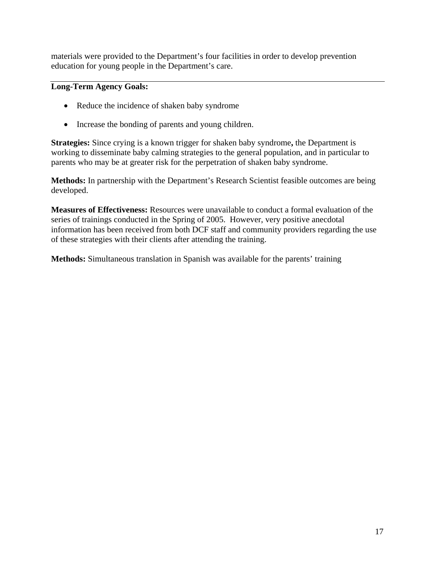materials were provided to the Department's four facilities in order to develop prevention education for young people in the Department's care.

#### **Long-Term Agency Goals:**

- Reduce the incidence of shaken baby syndrome
- Increase the bonding of parents and young children.

**Strategies:** Since crying is a known trigger for shaken baby syndrome**,** the Department is working to disseminate baby calming strategies to the general population, and in particular to parents who may be at greater risk for the perpetration of shaken baby syndrome.

**Methods:** In partnership with the Department's Research Scientist feasible outcomes are being developed.

**Measures of Effectiveness:** Resources were unavailable to conduct a formal evaluation of the series of trainings conducted in the Spring of 2005. However, very positive anecdotal information has been received from both DCF staff and community providers regarding the use of these strategies with their clients after attending the training.

**Methods:** Simultaneous translation in Spanish was available for the parents' training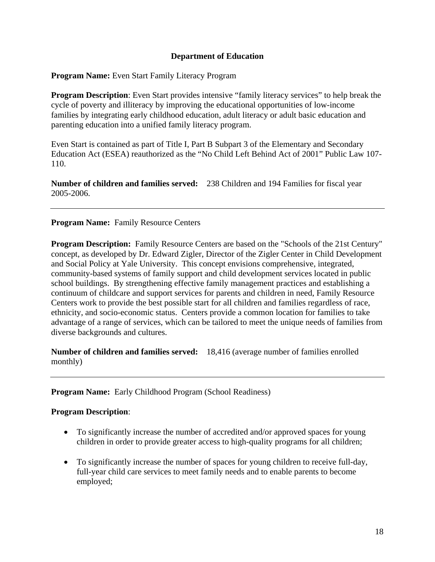#### **Department of Education**

**Program Name:** Even Start Family Literacy Program

**Program Description**: Even Start provides intensive "family literacy services" to help break the cycle of poverty and illiteracy by improving the educational opportunities of low-income families by integrating early childhood education, adult literacy or adult basic education and parenting education into a unified family literacy program.

Even Start is contained as part of Title I, Part B Subpart 3 of the Elementary and Secondary Education Act (ESEA) reauthorized as the "No Child Left Behind Act of 2001" Public Law 107- 110.

**Number of children and families served:** 238 Children and 194 Families for fiscal year 2005-2006.

#### **Program Name:** Family Resource Centers

**Program Description:** Family Resource Centers are based on the "Schools of the 21st Century" concept, as developed by Dr. Edward Zigler, Director of the Zigler Center in Child Development and Social Policy at Yale University. This concept envisions comprehensive, integrated, community-based systems of family support and child development services located in public school buildings. By strengthening effective family management practices and establishing a continuum of childcare and support services for parents and children in need, Family Resource Centers work to provide the best possible start for all children and families regardless of race, ethnicity, and socio-economic status. Centers provide a common location for families to take advantage of a range of services, which can be tailored to meet the unique needs of families from diverse backgrounds and cultures.

**Number of children and families served:** 18,416 (average number of families enrolled monthly)

#### **Program Name:** Early Childhood Program (School Readiness)

#### **Program Description**:

- To significantly increase the number of accredited and/or approved spaces for young children in order to provide greater access to high-quality programs for all children;
- To significantly increase the number of spaces for young children to receive full-day, full-year child care services to meet family needs and to enable parents to become employed;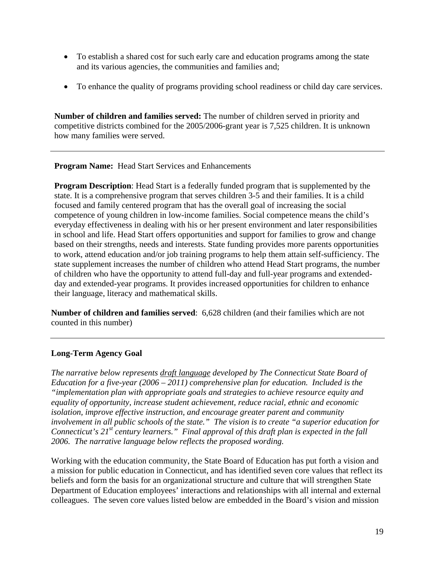- To establish a shared cost for such early care and education programs among the state and its various agencies, the communities and families and;
- To enhance the quality of programs providing school readiness or child day care services.

**Number of children and families served:** The number of children served in priority and competitive districts combined for the 2005/2006-grant year is 7,525 children. It is unknown how many families were served.

**Program Name:** Head Start Services and Enhancements

**Program Description:** Head Start is a federally funded program that is supplemented by the state. It is a comprehensive program that serves children 3-5 and their families. It is a child focused and family centered program that has the overall goal of increasing the social competence of young children in low-income families. Social competence means the child's everyday effectiveness in dealing with his or her present environment and later responsibilities in school and life. Head Start offers opportunities and support for families to grow and change based on their strengths, needs and interests. State funding provides more parents opportunities to work, attend education and/or job training programs to help them attain self-sufficiency. The state supplement increases the number of children who attend Head Start programs, the number of children who have the opportunity to attend full-day and full-year programs and extendedday and extended-year programs. It provides increased opportunities for children to enhance their language, literacy and mathematical skills.

**Number of children and families served**: 6,628 children (and their families which are not counted in this number)

#### **Long-Term Agency Goal**

*The narrative below represents draft language developed by The Connecticut State Board of Education for a five-year (2006 – 2011) comprehensive plan for education. Included is the "implementation plan with appropriate goals and strategies to achieve resource equity and equality of opportunity, increase student achievement, reduce racial, ethnic and economic isolation, improve effective instruction, and encourage greater parent and community involvement in all public schools of the state." The vision is to create "a superior education for Connecticut's 21st century learners." Final approval of this draft plan is expected in the fall 2006. The narrative language below reflects the proposed wording.*

Working with the education community, the State Board of Education has put forth a vision and a mission for public education in Connecticut, and has identified seven core values that reflect its beliefs and form the basis for an organizational structure and culture that will strengthen State Department of Education employees' interactions and relationships with all internal and external colleagues. The seven core values listed below are embedded in the Board's vision and mission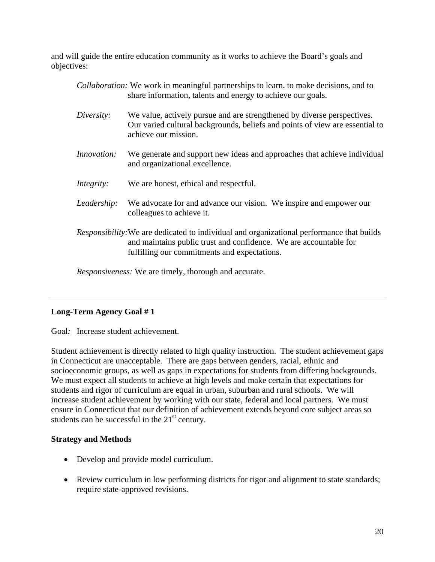and will guide the entire education community as it works to achieve the Board's goals and objectives:

|                    | <i>Collaboration:</i> We work in meaningful partnerships to learn, to make decisions, and to<br>share information, talents and energy to achieve our goals.                                                           |
|--------------------|-----------------------------------------------------------------------------------------------------------------------------------------------------------------------------------------------------------------------|
| Diversity:         | We value, actively pursue and are strengthened by diverse perspectives.<br>Our varied cultural backgrounds, beliefs and points of view are essential to<br>achieve our mission.                                       |
| <i>Innovation:</i> | We generate and support new ideas and approaches that achieve individual<br>and organizational excellence.                                                                                                            |
| Integrity:         | We are honest, ethical and respectful.                                                                                                                                                                                |
| Leadership:        | We advocate for and advance our vision. We inspire and empower our<br>colleagues to achieve it.                                                                                                                       |
|                    | <i>Responsibility:</i> We are dedicated to individual and organizational performance that builds<br>and maintains public trust and confidence. We are accountable for<br>fulfilling our commitments and expectations. |

*Responsiveness:* We are timely, thorough and accurate.

#### **Long-Term Agency Goal # 1**

Goal*:* Increase student achievement.

Student achievement is directly related to high quality instruction. The student achievement gaps in Connecticut are unacceptable. There are gaps between genders, racial, ethnic and socioeconomic groups, as well as gaps in expectations for students from differing backgrounds. We must expect all students to achieve at high levels and make certain that expectations for students and rigor of curriculum are equal in urban, suburban and rural schools. We will increase student achievement by working with our state, federal and local partners. We must ensure in Connecticut that our definition of achievement extends beyond core subject areas so students can be successful in the  $21<sup>st</sup>$  century.

#### **Strategy and Methods**

- Develop and provide model curriculum.
- Review curriculum in low performing districts for rigor and alignment to state standards; require state-approved revisions.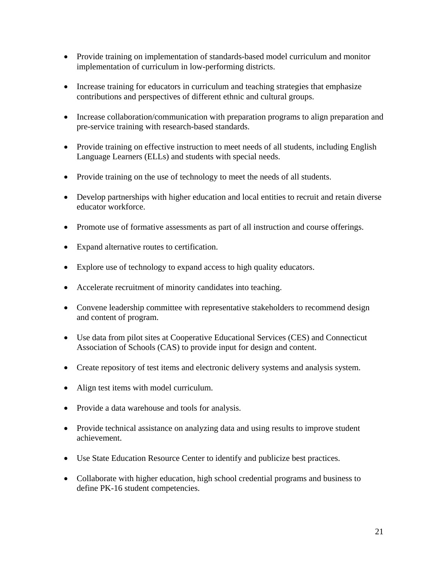- Provide training on implementation of standards-based model curriculum and monitor implementation of curriculum in low-performing districts.
- Increase training for educators in curriculum and teaching strategies that emphasize contributions and perspectives of different ethnic and cultural groups.
- Increase collaboration/communication with preparation programs to align preparation and pre-service training with research-based standards.
- Provide training on effective instruction to meet needs of all students, including English Language Learners (ELLs) and students with special needs.
- Provide training on the use of technology to meet the needs of all students.
- Develop partnerships with higher education and local entities to recruit and retain diverse educator workforce.
- Promote use of formative assessments as part of all instruction and course offerings.
- Expand alternative routes to certification.
- Explore use of technology to expand access to high quality educators.
- Accelerate recruitment of minority candidates into teaching.
- Convene leadership committee with representative stakeholders to recommend design and content of program.
- Use data from pilot sites at Cooperative Educational Services (CES) and Connecticut Association of Schools (CAS) to provide input for design and content.
- Create repository of test items and electronic delivery systems and analysis system.
- Align test items with model curriculum.
- Provide a data warehouse and tools for analysis.
- Provide technical assistance on analyzing data and using results to improve student achievement.
- Use State Education Resource Center to identify and publicize best practices.
- Collaborate with higher education, high school credential programs and business to define PK-16 student competencies.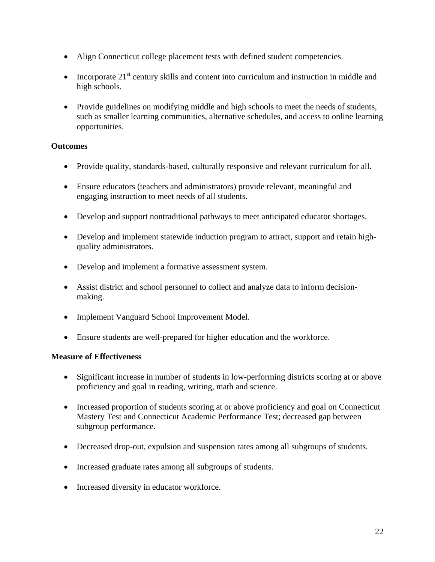- Align Connecticut college placement tests with defined student competencies.
- Incorporate  $21<sup>st</sup>$  century skills and content into curriculum and instruction in middle and high schools.
- Provide guidelines on modifying middle and high schools to meet the needs of students, such as smaller learning communities, alternative schedules, and access to online learning opportunities.

#### **Outcomes**

- Provide quality, standards-based, culturally responsive and relevant curriculum for all.
- Ensure educators (teachers and administrators) provide relevant, meaningful and engaging instruction to meet needs of all students.
- Develop and support nontraditional pathways to meet anticipated educator shortages.
- Develop and implement statewide induction program to attract, support and retain highquality administrators.
- Develop and implement a formative assessment system.
- Assist district and school personnel to collect and analyze data to inform decisionmaking.
- Implement Vanguard School Improvement Model.
- Ensure students are well-prepared for higher education and the workforce.

#### **Measure of Effectiveness**

- Significant increase in number of students in low-performing districts scoring at or above proficiency and goal in reading, writing, math and science.
- Increased proportion of students scoring at or above proficiency and goal on Connecticut Mastery Test and Connecticut Academic Performance Test; decreased gap between subgroup performance.
- Decreased drop-out, expulsion and suspension rates among all subgroups of students.
- Increased graduate rates among all subgroups of students.
- Increased diversity in educator workforce.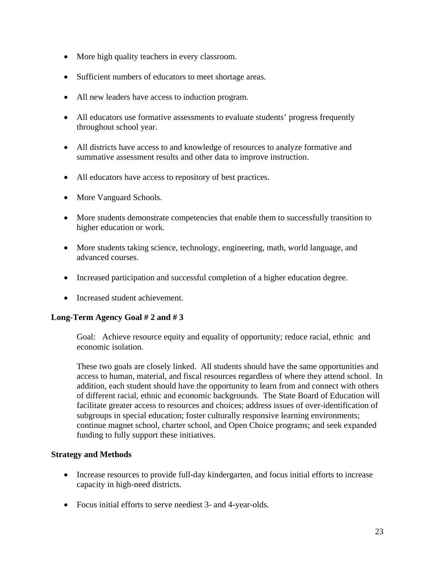- More high quality teachers in every classroom.
- Sufficient numbers of educators to meet shortage areas.
- All new leaders have access to induction program.
- All educators use formative assessments to evaluate students' progress frequently throughout school year.
- All districts have access to and knowledge of resources to analyze formative and summative assessment results and other data to improve instruction.
- All educators have access to repository of best practices.
- More Vanguard Schools.
- More students demonstrate competencies that enable them to successfully transition to higher education or work.
- More students taking science, technology, engineering, math, world language, and advanced courses.
- Increased participation and successful completion of a higher education degree.
- Increased student achievement.

#### **Long-Term Agency Goal # 2 and # 3**

 Goal: Achieve resource equity and equality of opportunity; reduce racial, ethnic and economic isolation.

These two goals are closely linked. All students should have the same opportunities and access to human, material, and fiscal resources regardless of where they attend school. In addition, each student should have the opportunity to learn from and connect with others of different racial, ethnic and economic backgrounds. The State Board of Education will facilitate greater access to resources and choices; address issues of over-identification of subgroups in special education; foster culturally responsive learning environments; continue magnet school, charter school, and Open Choice programs; and seek expanded funding to fully support these initiatives.

#### **Strategy and Methods**

- Increase resources to provide full-day kindergarten, and focus initial efforts to increase capacity in high-need districts.
- Focus initial efforts to serve neediest 3- and 4-year-olds.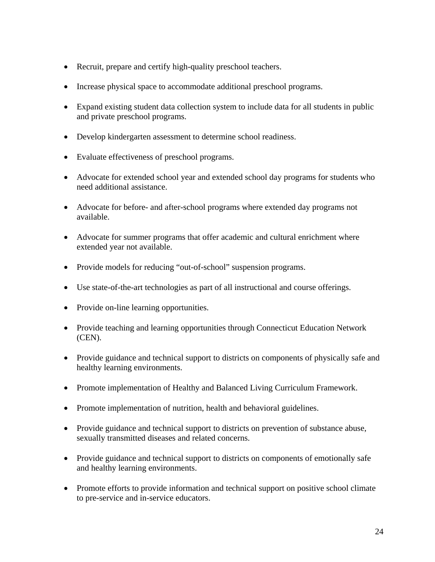- Recruit, prepare and certify high-quality preschool teachers.
- Increase physical space to accommodate additional preschool programs.
- Expand existing student data collection system to include data for all students in public and private preschool programs.
- Develop kindergarten assessment to determine school readiness.
- Evaluate effectiveness of preschool programs.
- Advocate for extended school year and extended school day programs for students who need additional assistance.
- Advocate for before- and after-school programs where extended day programs not available.
- Advocate for summer programs that offer academic and cultural enrichment where extended year not available.
- Provide models for reducing "out-of-school" suspension programs.
- Use state-of-the-art technologies as part of all instructional and course offerings.
- Provide on-line learning opportunities.
- Provide teaching and learning opportunities through Connecticut Education Network (CEN).
- Provide guidance and technical support to districts on components of physically safe and healthy learning environments.
- Promote implementation of Healthy and Balanced Living Curriculum Framework.
- Promote implementation of nutrition, health and behavioral guidelines.
- Provide guidance and technical support to districts on prevention of substance abuse, sexually transmitted diseases and related concerns.
- Provide guidance and technical support to districts on components of emotionally safe and healthy learning environments.
- Promote efforts to provide information and technical support on positive school climate to pre-service and in-service educators.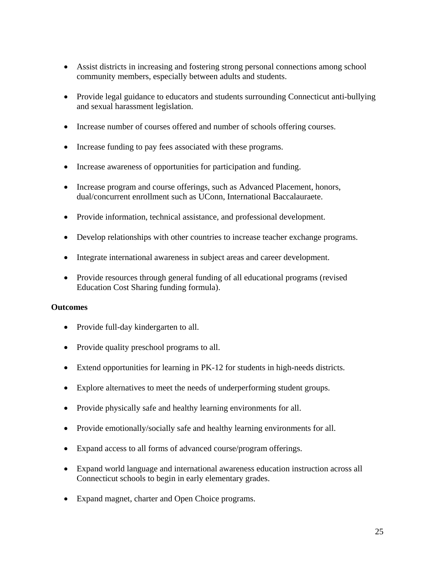- Assist districts in increasing and fostering strong personal connections among school community members, especially between adults and students.
- Provide legal guidance to educators and students surrounding Connecticut anti-bullying and sexual harassment legislation.
- Increase number of courses offered and number of schools offering courses.
- Increase funding to pay fees associated with these programs.
- Increase awareness of opportunities for participation and funding.
- Increase program and course offerings, such as Advanced Placement, honors, dual/concurrent enrollment such as UConn, International Baccalauraete.
- Provide information, technical assistance, and professional development.
- Develop relationships with other countries to increase teacher exchange programs.
- Integrate international awareness in subject areas and career development.
- Provide resources through general funding of all educational programs (revised Education Cost Sharing funding formula).

#### **Outcomes**

- Provide full-day kindergarten to all.
- Provide quality preschool programs to all.
- Extend opportunities for learning in PK-12 for students in high-needs districts.
- Explore alternatives to meet the needs of underperforming student groups.
- Provide physically safe and healthy learning environments for all.
- Provide emotionally/socially safe and healthy learning environments for all.
- Expand access to all forms of advanced course/program offerings.
- Expand world language and international awareness education instruction across all Connecticut schools to begin in early elementary grades.
- Expand magnet, charter and Open Choice programs.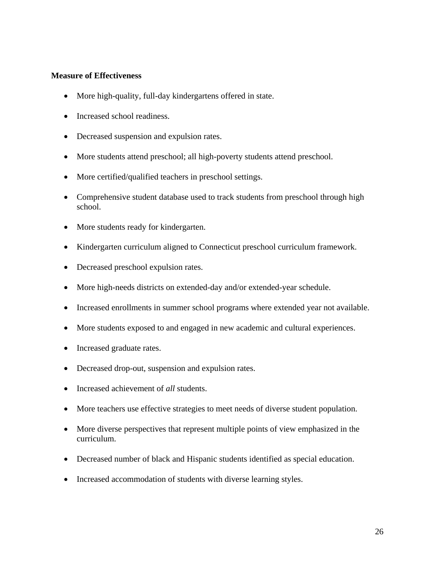#### **Measure of Effectiveness**

- More high-quality, full-day kindergartens offered in state.
- Increased school readiness.
- Decreased suspension and expulsion rates.
- More students attend preschool; all high-poverty students attend preschool.
- More certified/qualified teachers in preschool settings.
- Comprehensive student database used to track students from preschool through high school.
- More students ready for kindergarten.
- Kindergarten curriculum aligned to Connecticut preschool curriculum framework.
- Decreased preschool expulsion rates.
- More high-needs districts on extended-day and/or extended-year schedule.
- Increased enrollments in summer school programs where extended year not available.
- More students exposed to and engaged in new academic and cultural experiences.
- Increased graduate rates.
- Decreased drop-out, suspension and expulsion rates.
- Increased achievement of *all* students.
- More teachers use effective strategies to meet needs of diverse student population.
- More diverse perspectives that represent multiple points of view emphasized in the curriculum.
- Decreased number of black and Hispanic students identified as special education.
- Increased accommodation of students with diverse learning styles.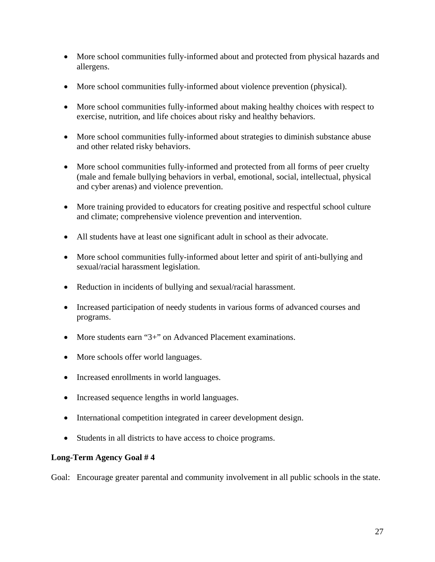- More school communities fully-informed about and protected from physical hazards and allergens.
- More school communities fully-informed about violence prevention (physical).
- More school communities fully-informed about making healthy choices with respect to exercise, nutrition, and life choices about risky and healthy behaviors.
- More school communities fully-informed about strategies to diminish substance abuse and other related risky behaviors.
- More school communities fully-informed and protected from all forms of peer cruelty (male and female bullying behaviors in verbal, emotional, social, intellectual, physical and cyber arenas) and violence prevention.
- More training provided to educators for creating positive and respectful school culture and climate; comprehensive violence prevention and intervention.
- All students have at least one significant adult in school as their advocate.
- More school communities fully-informed about letter and spirit of anti-bullying and sexual/racial harassment legislation.
- Reduction in incidents of bullying and sexual/racial harassment.
- Increased participation of needy students in various forms of advanced courses and programs.
- More students earn "3+" on Advanced Placement examinations.
- More schools offer world languages.
- Increased enrollments in world languages.
- Increased sequence lengths in world languages.
- International competition integrated in career development design.
- Students in all districts to have access to choice programs.

#### **Long-Term Agency Goal # 4**

Goal: Encourage greater parental and community involvement in all public schools in the state.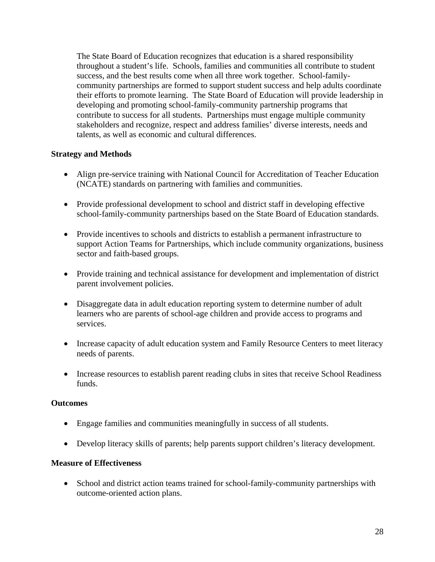The State Board of Education recognizes that education is a shared responsibility throughout a student's life. Schools, families and communities all contribute to student success, and the best results come when all three work together. School-familycommunity partnerships are formed to support student success and help adults coordinate their efforts to promote learning. The State Board of Education will provide leadership in developing and promoting school-family-community partnership programs that contribute to success for all students. Partnerships must engage multiple community stakeholders and recognize, respect and address families' diverse interests, needs and talents, as well as economic and cultural differences.

#### **Strategy and Methods**

- Align pre-service training with National Council for Accreditation of Teacher Education (NCATE) standards on partnering with families and communities.
- Provide professional development to school and district staff in developing effective school-family-community partnerships based on the State Board of Education standards.
- Provide incentives to schools and districts to establish a permanent infrastructure to support Action Teams for Partnerships, which include community organizations, business sector and faith-based groups.
- Provide training and technical assistance for development and implementation of district parent involvement policies.
- Disaggregate data in adult education reporting system to determine number of adult learners who are parents of school-age children and provide access to programs and services.
- Increase capacity of adult education system and Family Resource Centers to meet literacy needs of parents.
- Increase resources to establish parent reading clubs in sites that receive School Readiness funds.

#### **Outcomes**

- Engage families and communities meaningfully in success of all students.
- Develop literacy skills of parents; help parents support children's literacy development.

#### **Measure of Effectiveness**

• School and district action teams trained for school-family-community partnerships with outcome-oriented action plans.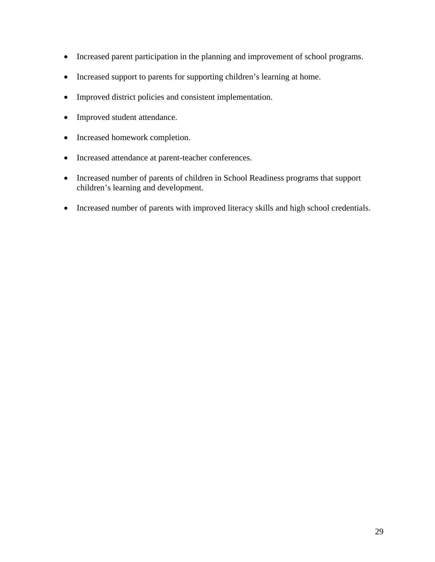- Increased parent participation in the planning and improvement of school programs.
- Increased support to parents for supporting children's learning at home.
- Improved district policies and consistent implementation.
- Improved student attendance.
- Increased homework completion.
- Increased attendance at parent-teacher conferences.
- Increased number of parents of children in School Readiness programs that support children's learning and development.
- Increased number of parents with improved literacy skills and high school credentials.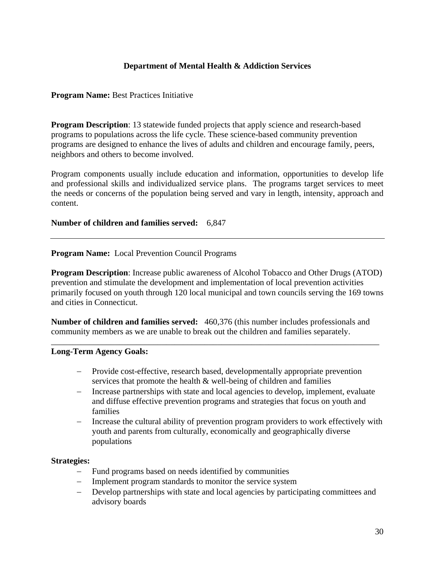#### **Department of Mental Health & Addiction Services**

#### **Program Name:** Best Practices Initiative

**Program Description**: 13 statewide funded projects that apply science and research-based programs to populations across the life cycle. These science-based community prevention programs are designed to enhance the lives of adults and children and encourage family, peers, neighbors and others to become involved.

Program components usually include education and information, opportunities to develop life and professional skills and individualized service plans. The programs target services to meet the needs or concerns of the population being served and vary in length, intensity, approach and content.

#### **Number of children and families served:** 6,847

**Program Name:** Local Prevention Council Programs

**Program Description**: Increase public awareness of Alcohol Tobacco and Other Drugs (ATOD) prevention and stimulate the development and implementation of local prevention activities primarily focused on youth through 120 local municipal and town councils serving the 169 towns and cities in Connecticut.

**Number of children and families served:** 460,376 (this number includes professionals and community members as we are unable to break out the children and families separately.

\_\_\_\_\_\_\_\_\_\_\_\_\_\_\_\_\_\_\_\_\_\_\_\_\_\_\_\_\_\_\_\_\_\_\_\_\_\_\_\_\_\_\_\_\_\_\_\_\_\_\_\_\_\_\_\_\_\_\_\_\_\_\_\_\_\_\_\_\_\_\_\_\_\_\_\_\_

#### **Long-Term Agency Goals:**

- − Provide cost-effective, research based, developmentally appropriate prevention services that promote the health & well-being of children and families
- − Increase partnerships with state and local agencies to develop, implement, evaluate and diffuse effective prevention programs and strategies that focus on youth and families
- − Increase the cultural ability of prevention program providers to work effectively with youth and parents from culturally, economically and geographically diverse populations

#### **Strategies:**

- − Fund programs based on needs identified by communities
- Implement program standards to monitor the service system
- − Develop partnerships with state and local agencies by participating committees and advisory boards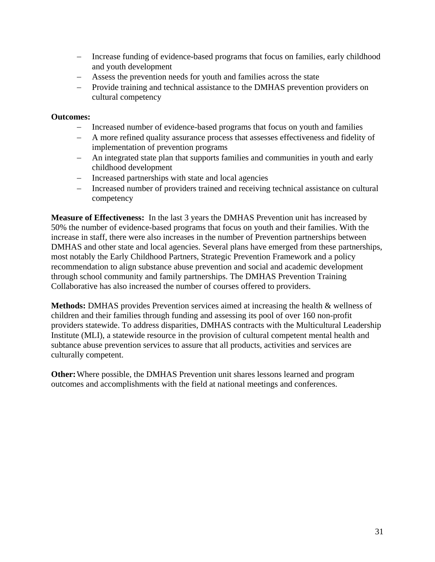- − Increase funding of evidence-based programs that focus on families, early childhood and youth development
- − Assess the prevention needs for youth and families across the state
- − Provide training and technical assistance to the DMHAS prevention providers on cultural competency

#### **Outcomes:**

- − Increased number of evidence-based programs that focus on youth and families
- − A more refined quality assurance process that assesses effectiveness and fidelity of implementation of prevention programs
- − An integrated state plan that supports families and communities in youth and early childhood development
- − Increased partnerships with state and local agencies
- − Increased number of providers trained and receiving technical assistance on cultural competency

**Measure of Effectiveness:** In the last 3 years the DMHAS Prevention unit has increased by 50% the number of evidence-based programs that focus on youth and their families. With the increase in staff, there were also increases in the number of Prevention partnerships between DMHAS and other state and local agencies. Several plans have emerged from these partnerships, most notably the Early Childhood Partners, Strategic Prevention Framework and a policy recommendation to align substance abuse prevention and social and academic development through school community and family partnerships. The DMHAS Prevention Training Collaborative has also increased the number of courses offered to providers.

**Methods:** DMHAS provides Prevention services aimed at increasing the health & wellness of children and their families through funding and assessing its pool of over 160 non-profit providers statewide. To address disparities, DMHAS contracts with the Multicultural Leadership Institute (MLI), a statewide resource in the provision of cultural competent mental health and subtance abuse prevention services to assure that all products, activities and services are culturally competent.

**Other:** Where possible, the DMHAS Prevention unit shares lessons learned and program outcomes and accomplishments with the field at national meetings and conferences.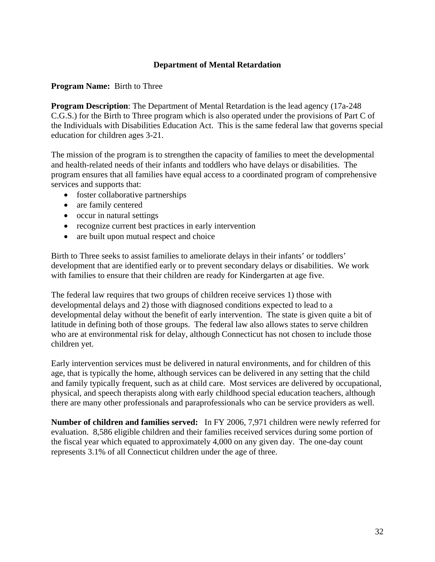#### **Department of Mental Retardation**

#### **Program Name:** Birth to Three

**Program Description:** The Department of Mental Retardation is the lead agency (17a-248) C.G.S.) for the Birth to Three program which is also operated under the provisions of Part C of the Individuals with Disabilities Education Act. This is the same federal law that governs special education for children ages 3-21.

The mission of the program is to strengthen the capacity of families to meet the developmental and health-related needs of their infants and toddlers who have delays or disabilities. The program ensures that all families have equal access to a coordinated program of comprehensive services and supports that:

- foster collaborative partnerships
- are family centered
- occur in natural settings
- recognize current best practices in early intervention
- are built upon mutual respect and choice

Birth to Three seeks to assist families to ameliorate delays in their infants' or toddlers' development that are identified early or to prevent secondary delays or disabilities. We work with families to ensure that their children are ready for Kindergarten at age five.

The federal law requires that two groups of children receive services 1) those with developmental delays and 2) those with diagnosed conditions expected to lead to a developmental delay without the benefit of early intervention. The state is given quite a bit of latitude in defining both of those groups. The federal law also allows states to serve children who are at environmental risk for delay, although Connecticut has not chosen to include those children yet.

Early intervention services must be delivered in natural environments, and for children of this age, that is typically the home, although services can be delivered in any setting that the child and family typically frequent, such as at child care. Most services are delivered by occupational, physical, and speech therapists along with early childhood special education teachers, although there are many other professionals and paraprofessionals who can be service providers as well.

**Number of children and families served:** In FY 2006, 7,971 children were newly referred for evaluation. 8,586 eligible children and their families received services during some portion of the fiscal year which equated to approximately 4,000 on any given day. The one-day count represents 3.1% of all Connecticut children under the age of three.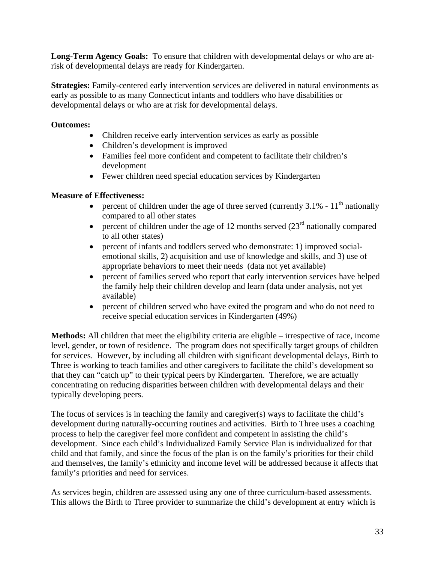**Long-Term Agency Goals:** To ensure that children with developmental delays or who are atrisk of developmental delays are ready for Kindergarten.

**Strategies:** Family-centered early intervention services are delivered in natural environments as early as possible to as many Connecticut infants and toddlers who have disabilities or developmental delays or who are at risk for developmental delays.

#### **Outcomes:**

- Children receive early intervention services as early as possible
- Children's development is improved
- Families feel more confident and competent to facilitate their children's development
- Fewer children need special education services by Kindergarten

#### **Measure of Effectiveness:**

- percent of children under the age of three served (currently  $3.1\%$   $11<sup>th</sup>$  nationally compared to all other states
- percent of children under the age of 12 months served  $(23<sup>rd</sup>$  nationally compared to all other states)
- percent of infants and toddlers served who demonstrate: 1) improved socialemotional skills, 2) acquisition and use of knowledge and skills, and 3) use of appropriate behaviors to meet their needs (data not yet available)
- percent of families served who report that early intervention services have helped the family help their children develop and learn (data under analysis, not yet available)
- percent of children served who have exited the program and who do not need to receive special education services in Kindergarten (49%)

**Methods:** All children that meet the eligibility criteria are eligible – irrespective of race, income level, gender, or town of residence. The program does not specifically target groups of children for services. However, by including all children with significant developmental delays, Birth to Three is working to teach families and other caregivers to facilitate the child's development so that they can "catch up" to their typical peers by Kindergarten. Therefore, we are actually concentrating on reducing disparities between children with developmental delays and their typically developing peers.

The focus of services is in teaching the family and caregiver(s) ways to facilitate the child's development during naturally-occurring routines and activities. Birth to Three uses a coaching process to help the caregiver feel more confident and competent in assisting the child's development. Since each child's Individualized Family Service Plan is individualized for that child and that family, and since the focus of the plan is on the family's priorities for their child and themselves, the family's ethnicity and income level will be addressed because it affects that family's priorities and need for services.

As services begin, children are assessed using any one of three curriculum-based assessments. This allows the Birth to Three provider to summarize the child's development at entry which is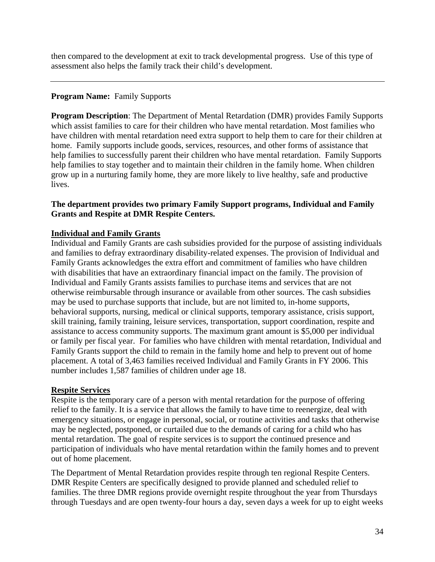then compared to the development at exit to track developmental progress. Use of this type of assessment also helps the family track their child's development.

#### **Program Name:** Family Supports

**Program Description**: The Department of Mental Retardation (DMR) provides Family Supports which assist families to care for their children who have mental retardation. Most families who have children with mental retardation need extra support to help them to care for their children at home. Family supports include goods, services, resources, and other forms of assistance that help families to successfully parent their children who have mental retardation. Family Supports help families to stay together and to maintain their children in the family home. When children grow up in a nurturing family home, they are more likely to live healthy, safe and productive lives.

#### **The department provides two primary Family Support programs, Individual and Family Grants and Respite at DMR Respite Centers.**

#### **Individual and Family Grants**

Individual and Family Grants are cash subsidies provided for the purpose of assisting individuals and families to defray extraordinary disability-related expenses. The provision of Individual and Family Grants acknowledges the extra effort and commitment of families who have children with disabilities that have an extraordinary financial impact on the family. The provision of Individual and Family Grants assists families to purchase items and services that are not otherwise reimbursable through insurance or available from other sources. The cash subsidies may be used to purchase supports that include, but are not limited to, in-home supports, behavioral supports, nursing, medical or clinical supports, temporary assistance, crisis support, skill training, family training, leisure services, transportation, support coordination, respite and assistance to access community supports. The maximum grant amount is \$5,000 per individual or family per fiscal year. For families who have children with mental retardation, Individual and Family Grants support the child to remain in the family home and help to prevent out of home placement. A total of 3,463 families received Individual and Family Grants in FY 2006. This number includes 1,587 families of children under age 18.

#### **Respite Services**

Respite is the temporary care of a person with mental retardation for the purpose of offering relief to the family. It is a service that allows the family to have time to reenergize, deal with emergency situations, or engage in personal, social, or routine activities and tasks that otherwise may be neglected, postponed, or curtailed due to the demands of caring for a child who has mental retardation. The goal of respite services is to support the continued presence and participation of individuals who have mental retardation within the family homes and to prevent out of home placement.

The Department of Mental Retardation provides respite through ten regional Respite Centers. DMR Respite Centers are specifically designed to provide planned and scheduled relief to families. The three DMR regions provide overnight respite throughout the year from Thursdays through Tuesdays and are open twenty-four hours a day, seven days a week for up to eight weeks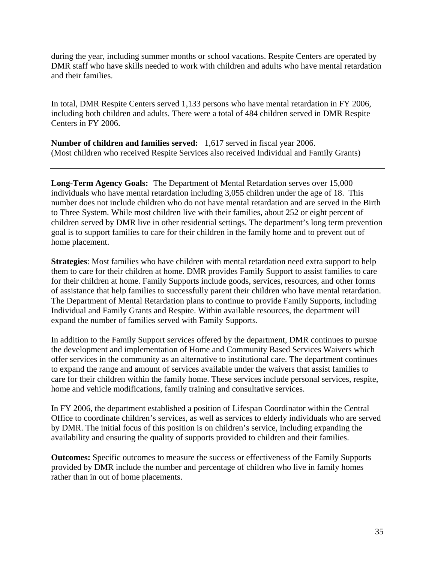during the year, including summer months or school vacations. Respite Centers are operated by DMR staff who have skills needed to work with children and adults who have mental retardation and their families.

In total, DMR Respite Centers served 1,133 persons who have mental retardation in FY 2006, including both children and adults. There were a total of 484 children served in DMR Respite Centers in FY 2006.

**Number of children and families served:** 1,617 served in fiscal year 2006. (Most children who received Respite Services also received Individual and Family Grants)

**Long-Term Agency Goals:** The Department of Mental Retardation serves over 15,000 individuals who have mental retardation including 3,055 children under the age of 18. This number does not include children who do not have mental retardation and are served in the Birth to Three System. While most children live with their families, about 252 or eight percent of children served by DMR live in other residential settings. The department's long term prevention goal is to support families to care for their children in the family home and to prevent out of home placement.

**Strategies**: Most families who have children with mental retardation need extra support to help them to care for their children at home. DMR provides Family Support to assist families to care for their children at home. Family Supports include goods, services, resources, and other forms of assistance that help families to successfully parent their children who have mental retardation. The Department of Mental Retardation plans to continue to provide Family Supports, including Individual and Family Grants and Respite. Within available resources, the department will expand the number of families served with Family Supports.

In addition to the Family Support services offered by the department, DMR continues to pursue the development and implementation of Home and Community Based Services Waivers which offer services in the community as an alternative to institutional care. The department continues to expand the range and amount of services available under the waivers that assist families to care for their children within the family home. These services include personal services, respite, home and vehicle modifications, family training and consultative services.

In FY 2006, the department established a position of Lifespan Coordinator within the Central Office to coordinate children's services, as well as services to elderly individuals who are served by DMR. The initial focus of this position is on children's service, including expanding the availability and ensuring the quality of supports provided to children and their families.

**Outcomes:** Specific outcomes to measure the success or effectiveness of the Family Supports provided by DMR include the number and percentage of children who live in family homes rather than in out of home placements.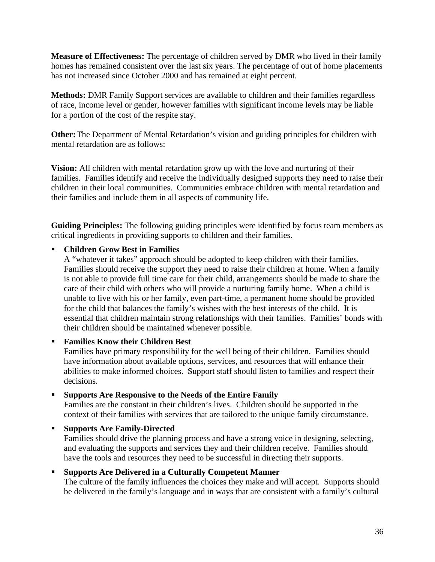**Measure of Effectiveness:** The percentage of children served by DMR who lived in their family homes has remained consistent over the last six years. The percentage of out of home placements has not increased since October 2000 and has remained at eight percent.

**Methods:** DMR Family Support services are available to children and their families regardless of race, income level or gender, however families with significant income levels may be liable for a portion of the cost of the respite stay.

**Other:** The Department of Mental Retardation's vision and guiding principles for children with mental retardation are as follows:

**Vision:** All children with mental retardation grow up with the love and nurturing of their families. Families identify and receive the individually designed supports they need to raise their children in their local communities. Communities embrace children with mental retardation and their families and include them in all aspects of community life.

**Guiding Principles:** The following guiding principles were identified by focus team members as critical ingredients in providing supports to children and their families.

#### **Children Grow Best in Families**

A "whatever it takes" approach should be adopted to keep children with their families. Families should receive the support they need to raise their children at home. When a family is not able to provide full time care for their child, arrangements should be made to share the care of their child with others who will provide a nurturing family home. When a child is unable to live with his or her family, even part-time, a permanent home should be provided for the child that balances the family's wishes with the best interests of the child. It is essential that children maintain strong relationships with their families. Families' bonds with their children should be maintained whenever possible.

#### **Families Know their Children Best**  Families have primary responsibility for the well being of their children. Families should have information about available options, services, and resources that will enhance their abilities to make informed choices. Support staff should listen to families and respect their decisions.

#### **Supports Are Responsive to the Needs of the Entire Family**

Families are the constant in their children's lives. Children should be supported in the context of their families with services that are tailored to the unique family circumstance.

# **Supports Are Family-Directed**  Families should drive the planning process and have a strong voice in designing, selecting, and evaluating the supports and services they and their children receive. Families should have the tools and resources they need to be successful in directing their supports.

#### **Supports Are Delivered in a Culturally Competent Manner**  The culture of the family influences the choices they make and will accept. Supports should be delivered in the family's language and in ways that are consistent with a family's cultural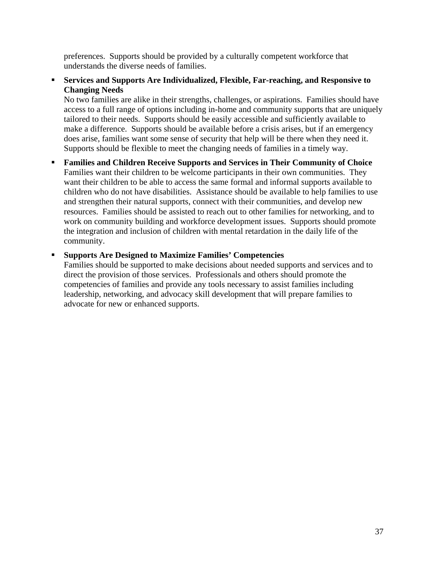preferences. Supports should be provided by a culturally competent workforce that understands the diverse needs of families.

 **Services and Supports Are Individualized, Flexible, Far-reaching, and Responsive to Changing Needs** 

No two families are alike in their strengths, challenges, or aspirations. Families should have access to a full range of options including in-home and community supports that are uniquely tailored to their needs. Supports should be easily accessible and sufficiently available to make a difference. Supports should be available before a crisis arises, but if an emergency does arise, families want some sense of security that help will be there when they need it. Supports should be flexible to meet the changing needs of families in a timely way.

 **Families and Children Receive Supports and Services in Their Community of Choice**  Families want their children to be welcome participants in their own communities. They want their children to be able to access the same formal and informal supports available to children who do not have disabilities. Assistance should be available to help families to use and strengthen their natural supports, connect with their communities, and develop new resources. Families should be assisted to reach out to other families for networking, and to work on community building and workforce development issues. Supports should promote the integration and inclusion of children with mental retardation in the daily life of the community.

#### **Supports Are Designed to Maximize Families' Competencies**

Families should be supported to make decisions about needed supports and services and to direct the provision of those services. Professionals and others should promote the competencies of families and provide any tools necessary to assist families including leadership, networking, and advocacy skill development that will prepare families to advocate for new or enhanced supports.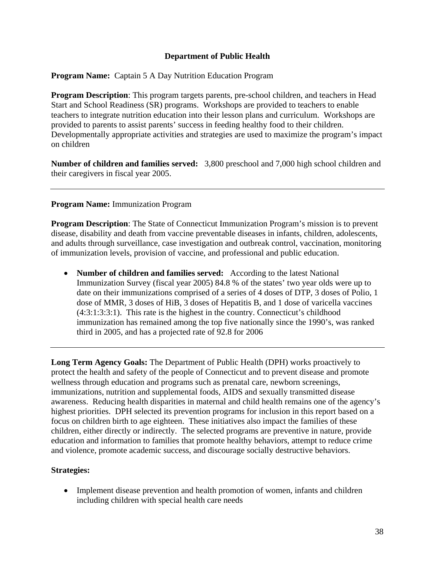#### **Department of Public Health**

**Program Name:** Captain 5 A Day Nutrition Education Program

**Program Description**: This program targets parents, pre-school children, and teachers in Head Start and School Readiness (SR) programs. Workshops are provided to teachers to enable teachers to integrate nutrition education into their lesson plans and curriculum. Workshops are provided to parents to assist parents' success in feeding healthy food to their children. Developmentally appropriate activities and strategies are used to maximize the program's impact on children

**Number of children and families served:** 3,800 preschool and 7,000 high school children and their caregivers in fiscal year 2005.

#### **Program Name:** Immunization Program

**Program Description:** The State of Connecticut Immunization Program's mission is to prevent disease, disability and death from vaccine preventable diseases in infants, children, adolescents, and adults through surveillance, case investigation and outbreak control, vaccination, monitoring of immunization levels, provision of vaccine, and professional and public education.

• **Number of children and families served:** According to the latest National Immunization Survey (fiscal year 2005) 84.8 % of the states' two year olds were up to date on their immunizations comprised of a series of 4 doses of DTP, 3 doses of Polio, 1 dose of MMR, 3 doses of HiB, 3 doses of Hepatitis B, and 1 dose of varicella vaccines (4:3:1:3:3:1). This rate is the highest in the country. Connecticut's childhood immunization has remained among the top five nationally since the 1990's, was ranked third in 2005, and has a projected rate of 92.8 for 2006

**Long Term Agency Goals:** The Department of Public Health (DPH) works proactively to protect the health and safety of the people of Connecticut and to prevent disease and promote wellness through education and programs such as prenatal care, newborn screenings, immunizations, nutrition and supplemental foods, AIDS and sexually transmitted disease awareness. Reducing health disparities in maternal and child health remains one of the agency's highest priorities. DPH selected its prevention programs for inclusion in this report based on a focus on children birth to age eighteen. These initiatives also impact the families of these children, either directly or indirectly. The selected programs are preventive in nature, provide education and information to families that promote healthy behaviors, attempt to reduce crime and violence, promote academic success, and discourage socially destructive behaviors.

#### **Strategies:**

• Implement disease prevention and health promotion of women, infants and children including children with special health care needs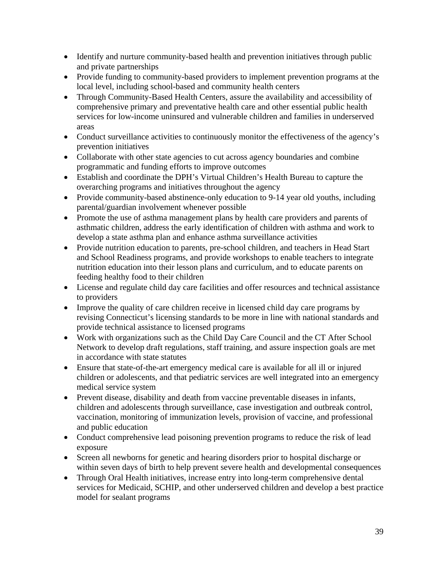- Identify and nurture community-based health and prevention initiatives through public and private partnerships
- Provide funding to community-based providers to implement prevention programs at the local level, including school-based and community health centers
- Through Community-Based Health Centers, assure the availability and accessibility of comprehensive primary and preventative health care and other essential public health services for low-income uninsured and vulnerable children and families in underserved areas
- Conduct surveillance activities to continuously monitor the effectiveness of the agency's prevention initiatives
- Collaborate with other state agencies to cut across agency boundaries and combine programmatic and funding efforts to improve outcomes
- Establish and coordinate the DPH's Virtual Children's Health Bureau to capture the overarching programs and initiatives throughout the agency
- Provide community-based abstinence-only education to 9-14 year old youths, including parental/guardian involvement whenever possible
- Promote the use of asthma management plans by health care providers and parents of asthmatic children, address the early identification of children with asthma and work to develop a state asthma plan and enhance asthma surveillance activities
- Provide nutrition education to parents, pre-school children, and teachers in Head Start and School Readiness programs, and provide workshops to enable teachers to integrate nutrition education into their lesson plans and curriculum, and to educate parents on feeding healthy food to their children
- License and regulate child day care facilities and offer resources and technical assistance to providers
- Improve the quality of care children receive in licensed child day care programs by revising Connecticut's licensing standards to be more in line with national standards and provide technical assistance to licensed programs
- Work with organizations such as the Child Day Care Council and the CT After School Network to develop draft regulations, staff training, and assure inspection goals are met in accordance with state statutes
- Ensure that state-of-the-art emergency medical care is available for all ill or injured children or adolescents, and that pediatric services are well integrated into an emergency medical service system
- Prevent disease, disability and death from vaccine preventable diseases in infants, children and adolescents through surveillance, case investigation and outbreak control, vaccination, monitoring of immunization levels, provision of vaccine, and professional and public education
- Conduct comprehensive lead poisoning prevention programs to reduce the risk of lead exposure
- Screen all newborns for genetic and hearing disorders prior to hospital discharge or within seven days of birth to help prevent severe health and developmental consequences
- Through Oral Health initiatives, increase entry into long-term comprehensive dental services for Medicaid, SCHIP, and other underserved children and develop a best practice model for sealant programs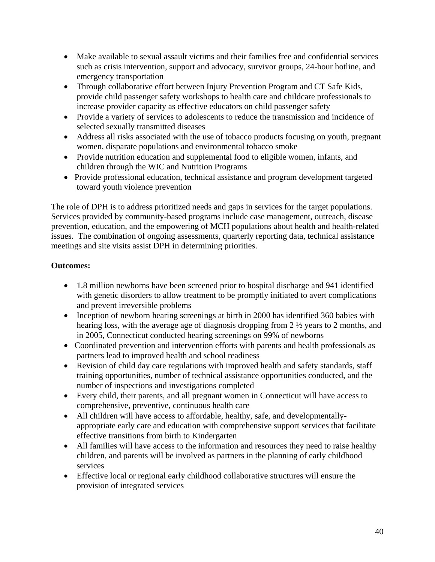- Make available to sexual assault victims and their families free and confidential services such as crisis intervention, support and advocacy, survivor groups, 24-hour hotline, and emergency transportation
- Through collaborative effort between Injury Prevention Program and CT Safe Kids, provide child passenger safety workshops to health care and childcare professionals to increase provider capacity as effective educators on child passenger safety
- Provide a variety of services to adolescents to reduce the transmission and incidence of selected sexually transmitted diseases
- Address all risks associated with the use of tobacco products focusing on youth, pregnant women, disparate populations and environmental tobacco smoke
- Provide nutrition education and supplemental food to eligible women, infants, and children through the WIC and Nutrition Programs
- Provide professional education, technical assistance and program development targeted toward youth violence prevention

The role of DPH is to address prioritized needs and gaps in services for the target populations. Services provided by community-based programs include case management, outreach, disease prevention, education, and the empowering of MCH populations about health and health-related issues. The combination of ongoing assessments, quarterly reporting data, technical assistance meetings and site visits assist DPH in determining priorities.

### **Outcomes:**

- 1.8 million newborns have been screened prior to hospital discharge and 941 identified with genetic disorders to allow treatment to be promptly initiated to avert complications and prevent irreversible problems
- Inception of newborn hearing screenings at birth in 2000 has identified 360 babies with hearing loss, with the average age of diagnosis dropping from 2 ½ years to 2 months, and in 2005, Connecticut conducted hearing screenings on 99% of newborns
- Coordinated prevention and intervention efforts with parents and health professionals as partners lead to improved health and school readiness
- Revision of child day care regulations with improved health and safety standards, staff training opportunities, number of technical assistance opportunities conducted, and the number of inspections and investigations completed
- Every child, their parents, and all pregnant women in Connecticut will have access to comprehensive, preventive, continuous health care
- All children will have access to affordable, healthy, safe, and developmentallyappropriate early care and education with comprehensive support services that facilitate effective transitions from birth to Kindergarten
- All families will have access to the information and resources they need to raise healthy children, and parents will be involved as partners in the planning of early childhood services
- Effective local or regional early childhood collaborative structures will ensure the provision of integrated services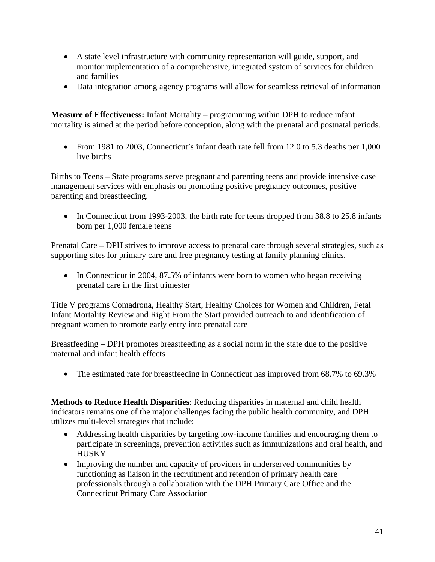- A state level infrastructure with community representation will guide, support, and monitor implementation of a comprehensive, integrated system of services for children and families
- Data integration among agency programs will allow for seamless retrieval of information

**Measure of Effectiveness:** Infant Mortality – programming within DPH to reduce infant mortality is aimed at the period before conception, along with the prenatal and postnatal periods.

• From 1981 to 2003, Connecticut's infant death rate fell from 12.0 to 5.3 deaths per 1,000 live births

Births to Teens – State programs serve pregnant and parenting teens and provide intensive case management services with emphasis on promoting positive pregnancy outcomes, positive parenting and breastfeeding.

• In Connecticut from 1993-2003, the birth rate for teens dropped from 38.8 to 25.8 infants born per 1,000 female teens

Prenatal Care – DPH strives to improve access to prenatal care through several strategies, such as supporting sites for primary care and free pregnancy testing at family planning clinics.

• In Connecticut in 2004, 87.5% of infants were born to women who began receiving prenatal care in the first trimester

Title V programs Comadrona, Healthy Start, Healthy Choices for Women and Children, Fetal Infant Mortality Review and Right From the Start provided outreach to and identification of pregnant women to promote early entry into prenatal care

Breastfeeding – DPH promotes breastfeeding as a social norm in the state due to the positive maternal and infant health effects

• The estimated rate for breastfeeding in Connecticut has improved from 68.7% to 69.3%

**Methods to Reduce Health Disparities**: Reducing disparities in maternal and child health indicators remains one of the major challenges facing the public health community, and DPH utilizes multi-level strategies that include:

- Addressing health disparities by targeting low-income families and encouraging them to participate in screenings, prevention activities such as immunizations and oral health, and **HUSKY**
- Improving the number and capacity of providers in underserved communities by functioning as liaison in the recruitment and retention of primary health care professionals through a collaboration with the DPH Primary Care Office and the Connecticut Primary Care Association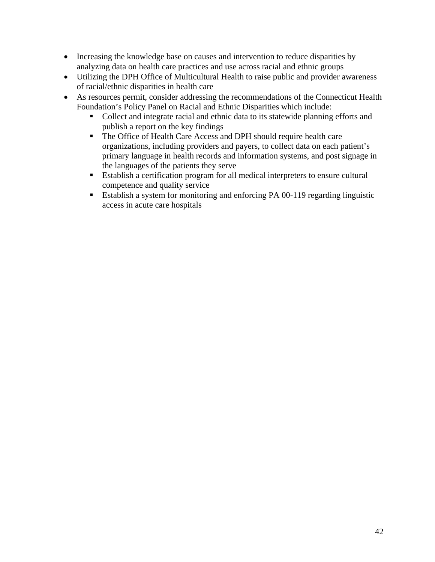- Increasing the knowledge base on causes and intervention to reduce disparities by analyzing data on health care practices and use across racial and ethnic groups
- Utilizing the DPH Office of Multicultural Health to raise public and provider awareness of racial/ethnic disparities in health care
- As resources permit, consider addressing the recommendations of the Connecticut Health Foundation's Policy Panel on Racial and Ethnic Disparities which include:
	- Collect and integrate racial and ethnic data to its statewide planning efforts and publish a report on the key findings
	- The Office of Health Care Access and DPH should require health care organizations, including providers and payers, to collect data on each patient's primary language in health records and information systems, and post signage in the languages of the patients they serve
	- Establish a certification program for all medical interpreters to ensure cultural competence and quality service
	- Establish a system for monitoring and enforcing PA 00-119 regarding linguistic access in acute care hospitals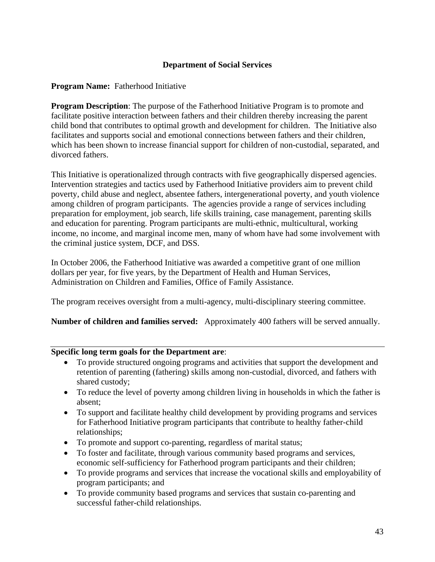#### **Department of Social Services**

#### **Program Name:** Fatherhood Initiative

**Program Description**: The purpose of the Fatherhood Initiative Program is to promote and facilitate positive interaction between fathers and their children thereby increasing the parent child bond that contributes to optimal growth and development for children. The Initiative also facilitates and supports social and emotional connections between fathers and their children, which has been shown to increase financial support for children of non-custodial, separated, and divorced fathers.

This Initiative is operationalized through contracts with five geographically dispersed agencies. Intervention strategies and tactics used by Fatherhood Initiative providers aim to prevent child poverty, child abuse and neglect, absentee fathers, intergenerational poverty, and youth violence among children of program participants. The agencies provide a range of services including preparation for employment, job search, life skills training, case management, parenting skills and education for parenting. Program participants are multi-ethnic, multicultural, working income, no income, and marginal income men, many of whom have had some involvement with the criminal justice system, DCF, and DSS.

In October 2006, the Fatherhood Initiative was awarded a competitive grant of one million dollars per year, for five years, by the Department of Health and Human Services, Administration on Children and Families, Office of Family Assistance.

The program receives oversight from a multi-agency, multi-disciplinary steering committee.

**Number of children and families served:** Approximately 400 fathers will be served annually.

#### **Specific long term goals for the Department are**:

- To provide structured ongoing programs and activities that support the development and retention of parenting (fathering) skills among non-custodial, divorced, and fathers with shared custody;
- To reduce the level of poverty among children living in households in which the father is absent;
- To support and facilitate healthy child development by providing programs and services for Fatherhood Initiative program participants that contribute to healthy father-child relationships;
- To promote and support co-parenting, regardless of marital status;
- To foster and facilitate, through various community based programs and services, economic self-sufficiency for Fatherhood program participants and their children;
- To provide programs and services that increase the vocational skills and employability of program participants; and
- To provide community based programs and services that sustain co-parenting and successful father-child relationships.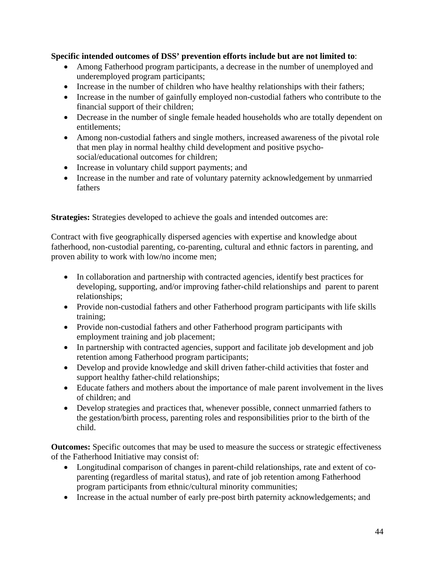#### **Specific intended outcomes of DSS' prevention efforts include but are not limited to**:

- Among Fatherhood program participants, a decrease in the number of unemployed and underemployed program participants;
- Increase in the number of children who have healthy relationships with their fathers;
- Increase in the number of gainfully employed non-custodial fathers who contribute to the financial support of their children;
- Decrease in the number of single female headed households who are totally dependent on entitlements;
- Among non-custodial fathers and single mothers, increased awareness of the pivotal role that men play in normal healthy child development and positive psychosocial/educational outcomes for children;
- Increase in voluntary child support payments; and
- Increase in the number and rate of voluntary paternity acknowledgement by unmarried fathers

**Strategies:** Strategies developed to achieve the goals and intended outcomes are:

Contract with five geographically dispersed agencies with expertise and knowledge about fatherhood, non-custodial parenting, co-parenting, cultural and ethnic factors in parenting, and proven ability to work with low/no income men;

- In collaboration and partnership with contracted agencies, identify best practices for developing, supporting, and/or improving father-child relationships and parent to parent relationships;
- Provide non-custodial fathers and other Fatherhood program participants with life skills training;
- Provide non-custodial fathers and other Fatherhood program participants with employment training and job placement;
- In partnership with contracted agencies, support and facilitate job development and job retention among Fatherhood program participants;
- Develop and provide knowledge and skill driven father-child activities that foster and support healthy father-child relationships;
- Educate fathers and mothers about the importance of male parent involvement in the lives of children; and
- Develop strategies and practices that, whenever possible, connect unmarried fathers to the gestation/birth process, parenting roles and responsibilities prior to the birth of the child.

**Outcomes:** Specific outcomes that may be used to measure the success or strategic effectiveness of the Fatherhood Initiative may consist of:

- Longitudinal comparison of changes in parent-child relationships, rate and extent of coparenting (regardless of marital status), and rate of job retention among Fatherhood program participants from ethnic/cultural minority communities;
- Increase in the actual number of early pre-post birth paternity acknowledgements; and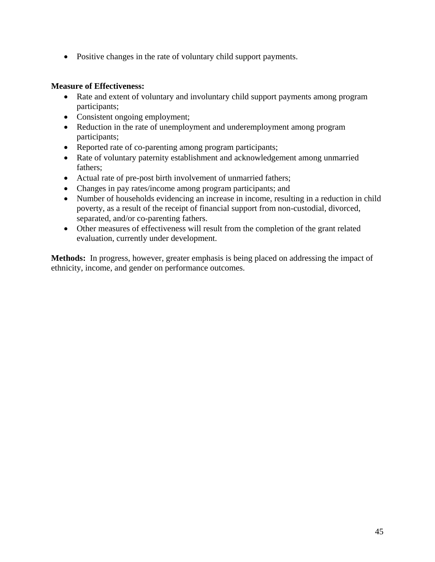• Positive changes in the rate of voluntary child support payments.

#### **Measure of Effectiveness:**

- Rate and extent of voluntary and involuntary child support payments among program participants;
- Consistent ongoing employment;
- Reduction in the rate of unemployment and underemployment among program participants;
- Reported rate of co-parenting among program participants;
- Rate of voluntary paternity establishment and acknowledgement among unmarried fathers;
- Actual rate of pre-post birth involvement of unmarried fathers;
- Changes in pay rates/income among program participants; and
- Number of households evidencing an increase in income, resulting in a reduction in child poverty, as a result of the receipt of financial support from non-custodial, divorced, separated, and/or co-parenting fathers.
- Other measures of effectiveness will result from the completion of the grant related evaluation, currently under development.

**Methods:** In progress, however, greater emphasis is being placed on addressing the impact of ethnicity, income, and gender on performance outcomes.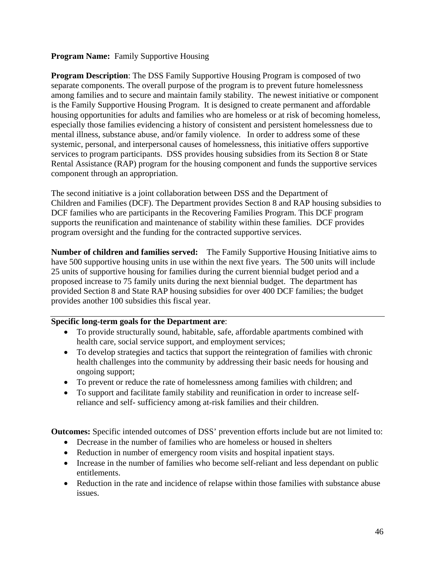#### **Program Name:** Family Supportive Housing

**Program Description**: The DSS Family Supportive Housing Program is composed of two separate components. The overall purpose of the program is to prevent future homelessness among families and to secure and maintain family stability. The newest initiative or component is the Family Supportive Housing Program. It is designed to create permanent and affordable housing opportunities for adults and families who are homeless or at risk of becoming homeless, especially those families evidencing a history of consistent and persistent homelessness due to mental illness, substance abuse, and/or family violence. In order to address some of these systemic, personal, and interpersonal causes of homelessness, this initiative offers supportive services to program participants. DSS provides housing subsidies from its Section 8 or State Rental Assistance (RAP) program for the housing component and funds the supportive services component through an appropriation.

The second initiative is a joint collaboration between DSS and the Department of Children and Families (DCF). The Department provides Section 8 and RAP housing subsidies to DCF families who are participants in the Recovering Families Program. This DCF program supports the reunification and maintenance of stability within these families. DCF provides program oversight and the funding for the contracted supportive services.

**Number of children and families served:** The Family Supportive Housing Initiative aims to have 500 supportive housing units in use within the next five years. The 500 units will include 25 units of supportive housing for families during the current biennial budget period and a proposed increase to 75 family units during the next biennial budget. The department has provided Section 8 and State RAP housing subsidies for over 400 DCF families; the budget provides another 100 subsidies this fiscal year.

#### **Specific long-term goals for the Department are**:

- To provide structurally sound, habitable, safe, affordable apartments combined with health care, social service support, and employment services;
- To develop strategies and tactics that support the reintegration of families with chronic health challenges into the community by addressing their basic needs for housing and ongoing support;
- To prevent or reduce the rate of homelessness among families with children; and
- To support and facilitate family stability and reunification in order to increase selfreliance and self- sufficiency among at-risk families and their children.

**Outcomes:** Specific intended outcomes of DSS' prevention efforts include but are not limited to:

- Decrease in the number of families who are homeless or housed in shelters
- Reduction in number of emergency room visits and hospital inpatient stays.
- Increase in the number of families who become self-reliant and less dependant on public entitlements.
- Reduction in the rate and incidence of relapse within those families with substance abuse issues.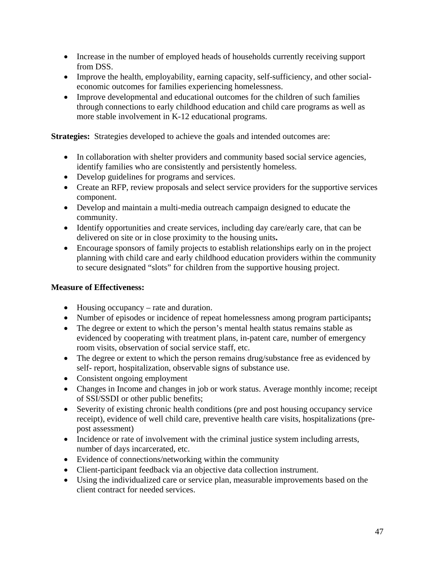- Increase in the number of employed heads of households currently receiving support from DSS.
- Improve the health, employability, earning capacity, self-sufficiency, and other socialeconomic outcomes for families experiencing homelessness.
- Improve developmental and educational outcomes for the children of such families through connections to early childhood education and child care programs as well as more stable involvement in K-12 educational programs.

**Strategies:** Strategies developed to achieve the goals and intended outcomes are:

- In collaboration with shelter providers and community based social service agencies, identify families who are consistently and persistently homeless.
- Develop guidelines for programs and services.
- Create an RFP, review proposals and select service providers for the supportive services component.
- Develop and maintain a multi-media outreach campaign designed to educate the community.
- Identify opportunities and create services, including day care/early care, that can be delivered on site or in close proximity to the housing units**.**
- Encourage sponsors of family projects to establish relationships early on in the project planning with child care and early childhood education providers within the community to secure designated "slots" for children from the supportive housing project.

### **Measure of Effectiveness:**

- Housing occupancy rate and duration.
- Number of episodes or incidence of repeat homelessness among program participants**;**
- The degree or extent to which the person's mental health status remains stable as evidenced by cooperating with treatment plans, in-patent care, number of emergency room visits, observation of social service staff, etc.
- The degree or extent to which the person remains drug/substance free as evidenced by self- report, hospitalization, observable signs of substance use.
- Consistent ongoing employment
- Changes in Income and changes in job or work status. Average monthly income; receipt of SSI/SSDI or other public benefits;
- Severity of existing chronic health conditions (pre and post housing occupancy service receipt), evidence of well child care, preventive health care visits, hospitalizations (prepost assessment)
- Incidence or rate of involvement with the criminal justice system including arrests, number of days incarcerated, etc.
- Evidence of connections/networking within the community
- Client-participant feedback via an objective data collection instrument.
- Using the individualized care or service plan, measurable improvements based on the client contract for needed services.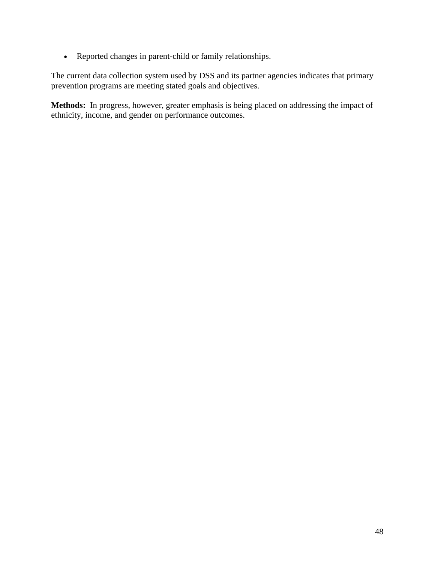• Reported changes in parent-child or family relationships.

The current data collection system used by DSS and its partner agencies indicates that primary prevention programs are meeting stated goals and objectives.

**Methods:** In progress, however, greater emphasis is being placed on addressing the impact of ethnicity, income, and gender on performance outcomes.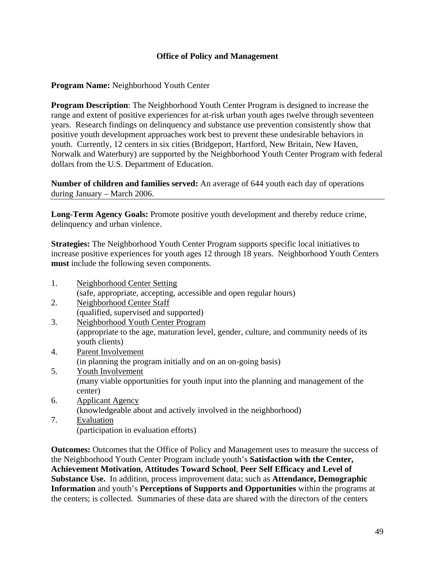#### **Office of Policy and Management**

#### **Program Name:** Neighborhood Youth Center

**Program Description:** The Neighborhood Youth Center Program is designed to increase the range and extent of positive experiences for at-risk urban youth ages twelve through seventeen years. Research findings on delinquency and substance use prevention consistently show that positive youth development approaches work best to prevent these undesirable behaviors in youth. Currently, 12 centers in six cities (Bridgeport, Hartford, New Britain, New Haven, Norwalk and Waterbury) are supported by the Neighborhood Youth Center Program with federal dollars from the U.S. Department of Education.

**Number of children and families served:** An average of 644 youth each day of operations during January – March 2006.

**Long-Term Agency Goals:** Promote positive youth development and thereby reduce crime, delinquency and urban violence.

**Strategies:** The Neighborhood Youth Center Program supports specific local initiatives to increase positive experiences for youth ages 12 through 18 years. Neighborhood Youth Centers **must** include the following seven components.

- 1. Neighborhood Center Setting (safe, appropriate, accepting, accessible and open regular hours)
- 2. Neighborhood Center Staff (qualified, supervised and supported)
- 3. Neighborhood Youth Center Program (appropriate to the age, maturation level, gender, culture, and community needs of its youth clients)
- 4. Parent Involvement (in planning the program initially and on an on-going basis)
- 5. Youth Involvement (many viable opportunities for youth input into the planning and management of the center)
- 6. Applicant Agency (knowledgeable about and actively involved in the neighborhood)
- 7. Evaluation (participation in evaluation efforts)

**Outcomes:** Outcomes that the Office of Policy and Management uses to measure the success of the Neighborhood Youth Center Program include youth's **Satisfaction with the Center, Achievement Motivation**, **Attitudes Toward School**, **Peer Self Efficacy and Level of Substance Use.** In addition, process improvement data; such as **Attendance, Demographic Information** and youth's **Perceptions of Supports and Opportunities** within the programs at the centers; is collected. Summaries of these data are shared with the directors of the centers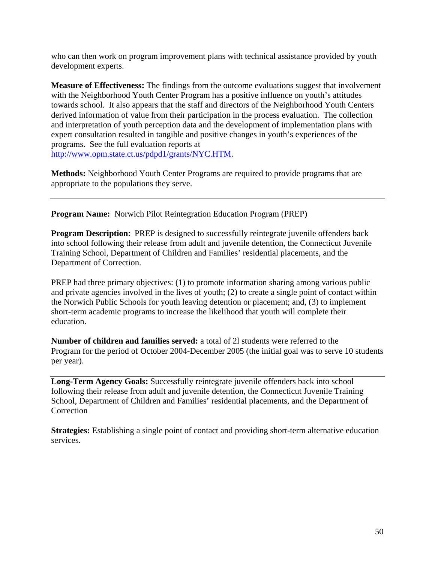who can then work on program improvement plans with technical assistance provided by youth development experts.

**Measure of Effectiveness:** The findings from the outcome evaluations suggest that involvement with the Neighborhood Youth Center Program has a positive influence on youth's attitudes towards school. It also appears that the staff and directors of the Neighborhood Youth Centers derived information of value from their participation in the process evaluation. The collection and interpretation of youth perception data and the development of implementation plans with expert consultation resulted in tangible and positive changes in youth's experiences of the programs. See the full evaluation reports at [http://www.opm.state.ct.us/pdpd1/grants/NYC.HTM.](http://www.opm.state.ct.us/pdpd1/grants/NYC.HTM)

**Methods:** Neighborhood Youth Center Programs are required to provide programs that are appropriate to the populations they serve.

**Program Name:** Norwich Pilot Reintegration Education Program (PREP)

**Program Description:** PREP is designed to successfully reintegrate juvenile offenders back into school following their release from adult and juvenile detention, the Connecticut Juvenile Training School, Department of Children and Families' residential placements, and the Department of Correction.

PREP had three primary objectives: (1) to promote information sharing among various public and private agencies involved in the lives of youth; (2) to create a single point of contact within the Norwich Public Schools for youth leaving detention or placement; and, (3) to implement short-term academic programs to increase the likelihood that youth will complete their education.

**Number of children and families served:** a total of 2l students were referred to the Program for the period of October 2004-December 2005 (the initial goal was to serve 10 students per year).

**Long-Term Agency Goals:** Successfully reintegrate juvenile offenders back into school following their release from adult and juvenile detention, the Connecticut Juvenile Training School, Department of Children and Families' residential placements, and the Department of **Correction** 

**Strategies:** Establishing a single point of contact and providing short-term alternative education services.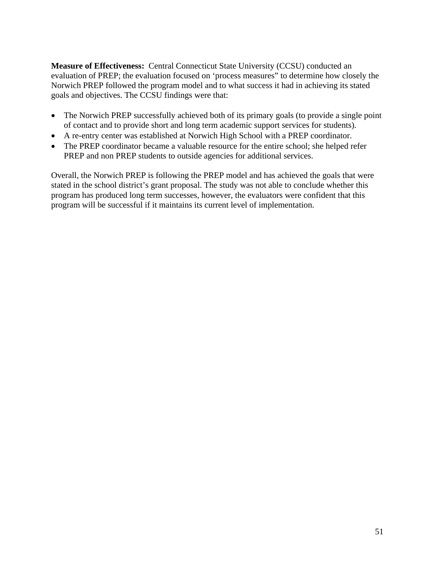**Measure of Effectiveness:** Central Connecticut State University (CCSU) conducted an evaluation of PREP; the evaluation focused on 'process measures" to determine how closely the Norwich PREP followed the program model and to what success it had in achieving its stated goals and objectives. The CCSU findings were that:

- The Norwich PREP successfully achieved both of its primary goals (to provide a single point of contact and to provide short and long term academic support services for students).
- A re-entry center was established at Norwich High School with a PREP coordinator.
- The PREP coordinator became a valuable resource for the entire school; she helped refer PREP and non PREP students to outside agencies for additional services.

Overall, the Norwich PREP is following the PREP model and has achieved the goals that were stated in the school district's grant proposal. The study was not able to conclude whether this program has produced long term successes, however, the evaluators were confident that this program will be successful if it maintains its current level of implementation.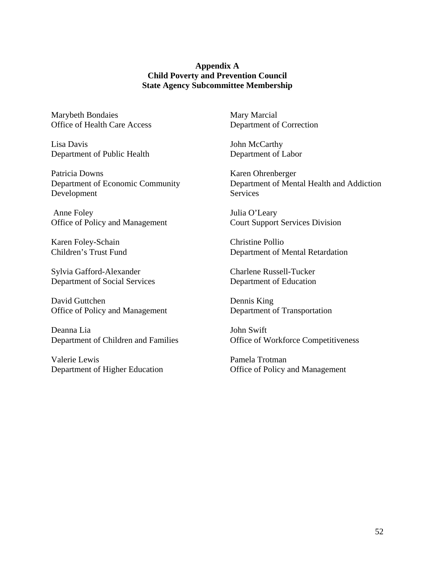#### **Appendix A Child Poverty and Prevention Council State Agency Subcommittee Membership**

Marybeth Bondaies Office of Health Care Access

Lisa Davis Department of Public Health

Patricia Downs Department of Economic Community Development

 Anne Foley Office of Policy and Management

Karen Foley-Schain Children's Trust Fund

Sylvia Gafford-Alexander Department of Social Services

David Guttchen Office of Policy and Management

Deanna Lia Department of Children and Families

Valerie Lewis Department of Higher Education Mary Marcial Department of Correction

John McCarthy Department of Labor

Karen Ohrenberger Department of Mental Health and Addiction **Services** 

Julia O'Leary Court Support Services Division

Christine Pollio Department of Mental Retardation

Charlene Russell-Tucker Department of Education

Dennis King Department of Transportation

John Swift Office of Workforce Competitiveness

Pamela Trotman Office of Policy and Management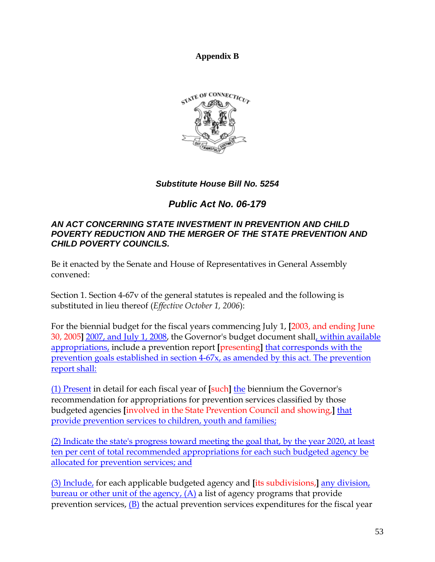**Appendix B** 



### *Substitute House Bill No. 5254*

# *Public Act No. 06-179*

#### *AN ACT CONCERNING STATE INVESTMENT IN PREVENTION AND CHILD POVERTY REDUCTION AND THE MERGER OF THE STATE PREVENTION AND CHILD POVERTY COUNCILS.*

Be it enacted by the Senate and House of Representatives in General Assembly convened:

Section 1. Section 4-67v of the general statutes is repealed and the following is substituted in lieu thereof (*Effective October 1, 2006*):

For the biennial budget for the fiscal years commencing July 1, **[**2003, and ending June 30, 2005**]** 2007, and July 1, 2008, the Governor's budget document shall, within available appropriations, include a prevention report **[**presenting**]** that corresponds with the prevention goals established in section 4-67x, as amended by this act. The prevention report shall:

(1) Present in detail for each fiscal year of **[**such**]** the biennium the Governor's recommendation for appropriations for prevention services classified by those budgeted agencies **[**involved in the State Prevention Council and showing,**]** that provide prevention services to children, youth and families;

(2) Indicate the state's progress toward meeting the goal that, by the year 2020, at least ten per cent of total recommended appropriations for each such budgeted agency be allocated for prevention services; and

(3) Include, for each applicable budgeted agency and **[**its subdivisions,**]** any division, bureau or other unit of the agency, (A) a list of agency programs that provide prevention services,  $(B)$  the actual prevention services expenditures for the fiscal year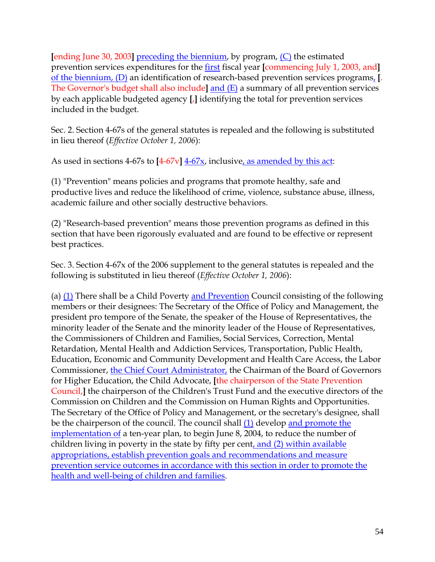**[**ending June 30, 2003**]** preceding the biennium, by program, (C) the estimated prevention services expenditures for the first fiscal year **[**commencing July 1, 2003, and**]** of the biennium, (D) an identification of research-based prevention services programs, **[**. The Governor's budget shall also include**]** and (E) a summary of all prevention services by each applicable budgeted agency **[**,**]** identifying the total for prevention services included in the budget.

Sec. 2. Section 4-67s of the general statutes is repealed and the following is substituted in lieu thereof (*Effective October 1, 2006*):

As used in sections 4-67s to **[**4-67v**]** 4-67x, inclusive, as amended by this act:

(1) "Prevention" means policies and programs that promote healthy, safe and productive lives and reduce the likelihood of crime, violence, substance abuse, illness, academic failure and other socially destructive behaviors.

(2) "Research-based prevention" means those prevention programs as defined in this section that have been rigorously evaluated and are found to be effective or represent best practices.

Sec. 3. Section 4-67x of the 2006 supplement to the general statutes is repealed and the following is substituted in lieu thereof (*Effective October 1, 2006*):

(a)  $(1)$  There shall be a Child Poverty and Prevention Council consisting of the following members or their designees: The Secretary of the Office of Policy and Management, the president pro tempore of the Senate, the speaker of the House of Representatives, the minority leader of the Senate and the minority leader of the House of Representatives, the Commissioners of Children and Families, Social Services, Correction, Mental Retardation, Mental Health and Addiction Services, Transportation, Public Health, Education, Economic and Community Development and Health Care Access, the Labor Commissioner, the Chief Court Administrator, the Chairman of the Board of Governors for Higher Education, the Child Advocate, **[**the chairperson of the State Prevention Council,**]** the chairperson of the Children's Trust Fund and the executive directors of the Commission on Children and the Commission on Human Rights and Opportunities. The Secretary of the Office of Policy and Management, or the secretary's designee, shall be the chairperson of the council. The council shall (1) develop and promote the implementation of a ten-year plan, to begin June 8, 2004, to reduce the number of children living in poverty in the state by fifty per cent, and (2) within available appropriations, establish prevention goals and recommendations and measure prevention service outcomes in accordance with this section in order to promote the health and well-being of children and families.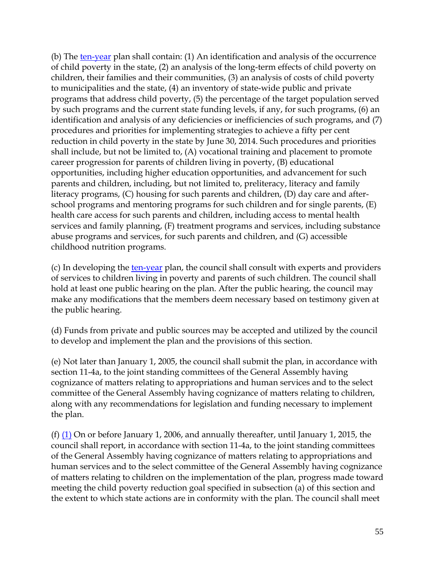(b) The ten-year plan shall contain: (1) An identification and analysis of the occurrence of child poverty in the state, (2) an analysis of the long-term effects of child poverty on children, their families and their communities, (3) an analysis of costs of child poverty to municipalities and the state, (4) an inventory of state-wide public and private programs that address child poverty, (5) the percentage of the target population served by such programs and the current state funding levels, if any, for such programs, (6) an identification and analysis of any deficiencies or inefficiencies of such programs, and (7) procedures and priorities for implementing strategies to achieve a fifty per cent reduction in child poverty in the state by June 30, 2014. Such procedures and priorities shall include, but not be limited to, (A) vocational training and placement to promote career progression for parents of children living in poverty, (B) educational opportunities, including higher education opportunities, and advancement for such parents and children, including, but not limited to, preliteracy, literacy and family literacy programs, (C) housing for such parents and children, (D) day care and afterschool programs and mentoring programs for such children and for single parents, (E) health care access for such parents and children, including access to mental health services and family planning, (F) treatment programs and services, including substance abuse programs and services, for such parents and children, and (G) accessible childhood nutrition programs.

(c) In developing the ten-year plan, the council shall consult with experts and providers of services to children living in poverty and parents of such children. The council shall hold at least one public hearing on the plan. After the public hearing, the council may make any modifications that the members deem necessary based on testimony given at the public hearing.

(d) Funds from private and public sources may be accepted and utilized by the council to develop and implement the plan and the provisions of this section.

(e) Not later than January 1, 2005, the council shall submit the plan, in accordance with section 11-4a, to the joint standing committees of the General Assembly having cognizance of matters relating to appropriations and human services and to the select committee of the General Assembly having cognizance of matters relating to children, along with any recommendations for legislation and funding necessary to implement the plan.

(f) (1) On or before January 1, 2006, and annually thereafter, until January 1, 2015, the council shall report, in accordance with section 11-4a, to the joint standing committees of the General Assembly having cognizance of matters relating to appropriations and human services and to the select committee of the General Assembly having cognizance of matters relating to children on the implementation of the plan, progress made toward meeting the child poverty reduction goal specified in subsection (a) of this section and the extent to which state actions are in conformity with the plan. The council shall meet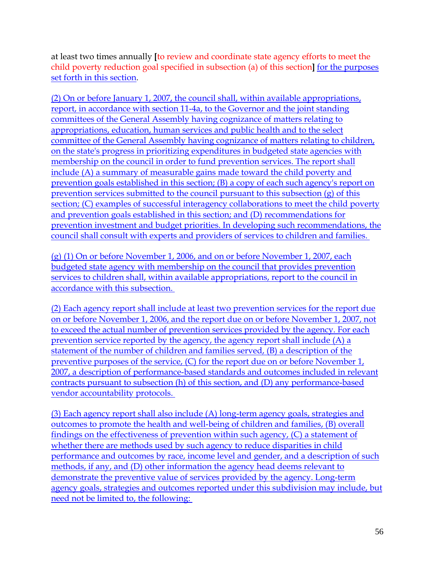at least two times annually **[**to review and coordinate state agency efforts to meet the child poverty reduction goal specified in subsection (a) of this section**]** for the purposes set forth in this section.

(2) On or before January 1, 2007, the council shall, within available appropriations, report, in accordance with section 11-4a, to the Governor and the joint standing committees of the General Assembly having cognizance of matters relating to appropriations, education, human services and public health and to the select committee of the General Assembly having cognizance of matters relating to children, on the state's progress in prioritizing expenditures in budgeted state agencies with membership on the council in order to fund prevention services. The report shall include (A) a summary of measurable gains made toward the child poverty and prevention goals established in this section; (B) a copy of each such agency's report on prevention services submitted to the council pursuant to this subsection (g) of this section; (C) examples of successful interagency collaborations to meet the child poverty and prevention goals established in this section; and (D) recommendations for prevention investment and budget priorities. In developing such recommendations, the council shall consult with experts and providers of services to children and families.

(g) (1) On or before November 1, 2006, and on or before November 1, 2007, each budgeted state agency with membership on the council that provides prevention services to children shall, within available appropriations, report to the council in accordance with this subsection.

(2) Each agency report shall include at least two prevention services for the report due on or before November 1, 2006, and the report due on or before November 1, 2007, not to exceed the actual number of prevention services provided by the agency. For each prevention service reported by the agency, the agency report shall include (A) a statement of the number of children and families served, (B) a description of the preventive purposes of the service, (C) for the report due on or before November 1, 2007, a description of performance-based standards and outcomes included in relevant contracts pursuant to subsection (h) of this section, and (D) any performance-based vendor accountability protocols.

(3) Each agency report shall also include (A) long-term agency goals, strategies and outcomes to promote the health and well-being of children and families, (B) overall findings on the effectiveness of prevention within such agency, (C) a statement of whether there are methods used by such agency to reduce disparities in child performance and outcomes by race, income level and gender, and a description of such methods, if any, and (D) other information the agency head deems relevant to demonstrate the preventive value of services provided by the agency. Long-term agency goals, strategies and outcomes reported under this subdivision may include, but need not be limited to, the following: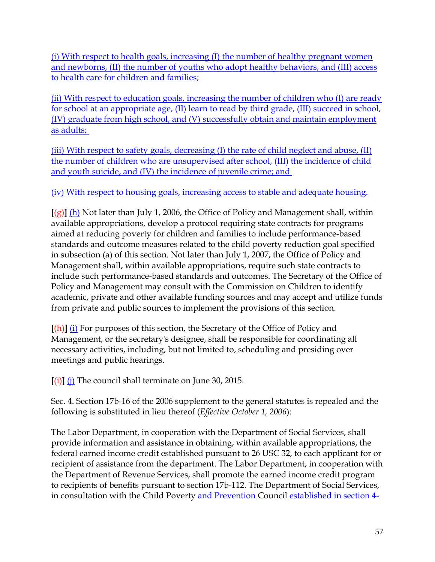(i) With respect to health goals, increasing (I) the number of healthy pregnant women and newborns, (II) the number of youths who adopt healthy behaviors, and (III) access to health care for children and families;

(ii) With respect to education goals, increasing the number of children who (I) are ready for school at an appropriate age, (II) learn to read by third grade, (III) succeed in school, (IV) graduate from high school, and (V) successfully obtain and maintain employment as adults;

(iii) With respect to safety goals, decreasing (I) the rate of child neglect and abuse, (II) the number of children who are unsupervised after school, (III) the incidence of child and youth suicide, and (IV) the incidence of juvenile crime; and

(iv) With respect to housing goals, increasing access to stable and adequate housing.

**[**(g)**]** (h) Not later than July 1, 2006, the Office of Policy and Management shall, within available appropriations, develop a protocol requiring state contracts for programs aimed at reducing poverty for children and families to include performance-based standards and outcome measures related to the child poverty reduction goal specified in subsection (a) of this section. Not later than July 1, 2007, the Office of Policy and Management shall, within available appropriations, require such state contracts to include such performance-based standards and outcomes. The Secretary of the Office of Policy and Management may consult with the Commission on Children to identify academic, private and other available funding sources and may accept and utilize funds from private and public sources to implement the provisions of this section.

**[**(h)**]** (i) For purposes of this section, the Secretary of the Office of Policy and Management, or the secretary's designee, shall be responsible for coordinating all necessary activities, including, but not limited to, scheduling and presiding over meetings and public hearings.

**[**(i)**]** (j) The council shall terminate on June 30, 2015.

Sec. 4. Section 17b-16 of the 2006 supplement to the general statutes is repealed and the following is substituted in lieu thereof (*Effective October 1, 2006*):

The Labor Department, in cooperation with the Department of Social Services, shall provide information and assistance in obtaining, within available appropriations, the federal earned income credit established pursuant to 26 USC 32, to each applicant for or recipient of assistance from the department. The Labor Department, in cooperation with the Department of Revenue Services, shall promote the earned income credit program to recipients of benefits pursuant to section 17b-112. The Department of Social Services, in consultation with the Child Poverty and Prevention Council established in section 4